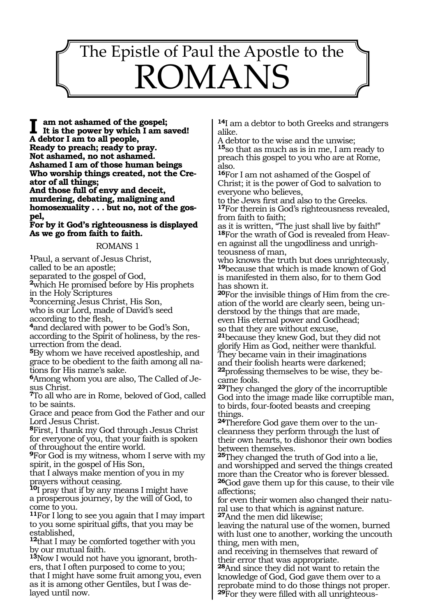# 141<br>141 - Johannes<br>141 - Johannes The Epistle of Paul the Apostle to the ROMANS

**I am not ashamed of the gospel; It is the power by which I am saved! A debtor I am to all people, Ready to preach; ready to pray. Not ashamed, no not ashamed. Ashamed I am of those human beings Who worship things created, not the Creator of all things; And those full of envy and deceit,** 

**murdering, debating, maligning and homosexuality . . . but no, not of the gospel,** 

**For by it God's righteousness is displayed As we go from faith to faith.** 

#### ROMANS 1

**<sup>1</sup>**Paul, a servant of Jesus Christ,

called to be an apostle;

separated to the gospel of God,

**<sup>2</sup>**which He promised before by His prophets in the Holy Scriptures

**<sup>3</sup>**concerning Jesus Christ, His Son, who is our Lord, made of David's seed according to the flesh,

**<sup>4</sup>**and declared with power to be God's Son, according to the Spirit of holiness, by the res- urrection from the dead.

**<sup>5</sup>**By whom we have received apostleship, and grace to be obedient to the faith among all nations for His name's sake.

**<sup>6</sup>**Among whom you are also, The Called of Je- sus Christ.

**<sup>7</sup>**To all who are in Rome, beloved of God, called to be saints.

Grace and peace from God the Father and our Lord Jesus Christ.

**<sup>8</sup>**First, I thank my God through Jesus Christ for everyone of you, that your faith is spoken of throughout the entire world.

**<sup>9</sup>**For God is my witness, whom I serve with my spirit, in the gospel of His Son,

that I always make mention of you in my prayers without ceasing.

**<sup>10</sup>**I pray that if by any means I might have a prosperous journey, by the will of God, to come to you.

**<sup>11</sup>**For I long to see you again that I may impart to you some spiritual gifts, that you may be established,

**<sup>12</sup>**that I may be comforted together with you by our mutual faith.

**13**Now I would not have you ignorant, brothers, that I often purposed to come to you; that I might have some fruit among you, even as it is among other Gentiles, but I was delayed until now.

**<sup>14</sup>**I am a debtor to both Greeks and strangers alike.

A debtor to the wise and the unwise; **<sup>15</sup>**so that as much as is in me, I am ready to preach this gospel to you who are at Rome, also.

**<sup>16</sup>**For I am not ashamed of the Gospel of Christ; it is the power of God to salvation to everyone who believes,

to the Jews first and also to the Greeks. **<sup>17</sup>**For therein is God's righteousness revealed, from faith to faith;

as it is written, "The just shall live by faith!" **18**For the wrath of God is revealed from Heaven against all the ungodliness and unrighteousness of man,

who knows the truth but does unrighteously, **<sup>19</sup>**because that which is made known of God is manifested in them also, for to them God has shown it.

**20**For the invisible things of Him from the creation of the world are clearly seen, being understood by the things that are made, even His eternal power and Godhead; so that they are without excuse,

**<sup>21</sup>**because they knew God, but they did not glorify Him as God, neither were thankful. They became vain in their imaginations and their foolish hearts were darkened;

**22**professing themselves to be wise, they became fools.

**<sup>23</sup>**They changed the glory of the incorruptible God into the image made like corruptible man, to birds, four-footed beasts and creeping things.

**24**Therefore God gave them over to the uncleanness they perform through the lust of their own hearts, to dishonor their own bodies between themselves.

**<sup>25</sup>**They changed the truth of God into a lie, and worshipped and served the things created more than the Creator who is forever blessed. **<sup>26</sup>**God gave them up for this cause, to their vile affections;

for even their women also changed their natural use to that which is against nature. **<sup>27</sup>**And the men did likewise;

leaving the natural use of the women, burned with lust one to another, working the uncouth thing, men with men,

and receiving in themselves that reward of their error that was appropriate.

**<sup>28</sup>**And since they did not want to retain the knowledge of God, God gave them over to a reprobate mind to do those things not proper. **29**For they were filled with all unrighteous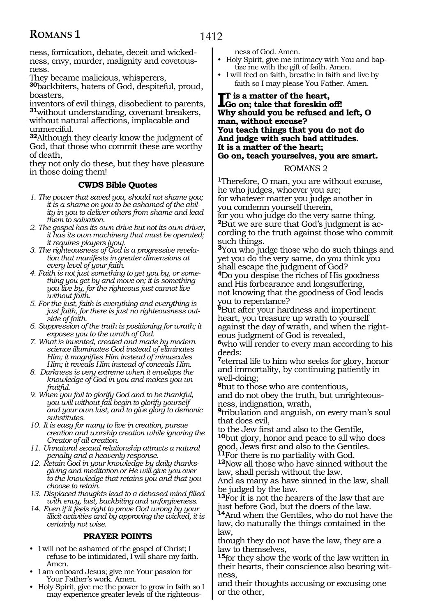ness, fornication, debate, deceit and wickedness, envy, murder, malignity and covetousness.

They became malicious, whisperers,

**<sup>30</sup>**backbiters, haters of God, despiteful, proud, boasters,

inventors of evil things, disobedient to parents, **<sup>31</sup>**without understanding, covenant breakers, without natural affections, implacable and unmerciful.

**<sup>32</sup>**Although they clearly know the judgment of God, that those who commit these are worthy of death,

they not only do these, but they have pleasure in those doing them!

#### **CWDS Bible Quotes**

- *1. The power that saved you, should not shame you; it is a shame on you to be ashamed of the ability in you to deliver others from shame and lead them to salvation.*
- *2. The gospel has its own drive but not its own driver, it has its own machinery that must be operated; it requires players (you).*
- *3. The righteousness of God is a progressive revelation that manifests in greater dimensions at every level of your faith.*
- *4. Faith is not just something to get you by, or something you get by and move on; it is something you live by, for the righteous just cannot live without faith.*
- *5. For the just, faith is everything and everything is just faith, for there is just no righteousness outside of faith.*
- *6. Suppression of the truth is positioning for wrath; it exposes you to the wrath of God.*
- *7. What is invented, created and made by modern science illuminates God instead of eliminates Him; it magnifies Him instead of minuscules Him; it reveals Him instead of conceals Him.*
- *8. Darkness is very extreme when it envelops the knowledge of God in you and makes you unfruitful.*
- *9. When you fail to glorify God and to be thankful, you will without fail begin to glorify yourself and your own lust, and to give glory to demonic substitutes.*
- *10. It is easy for many to live in creation, pursue creation and worship creation while ignoring the Creator of all creation.*
- *11. Unnatural sexual relationship attracts a natural penalty and a heavenly response.*
- *12. Retain God in your knowledge by daily thanksgiving and meditation or He will give you over to the knowledge that retains you and that you choose to retain.*
- *13. Displaced thoughts lead to a debased mind filled with envy, lust, backbiting and unforgiveness.*
- *14. Even if it feels right to prove God wrong by your illicit activities and by approving the wicked, it is certainly not wise.*

#### **PRAYER POINTS**

- I will not be ashamed of the gospel of Christ; I refuse to be intimidated, I will share my faith. Amen.
- I am onboard Jesus; give me Your passion for Your Father's work. Amen.
- Holy Spirit, give me the power to grow in faith so I may experience greater levels of the righteous-

ness of God. Amen.

- Holy Spirit, give me intimacy with You and baptize me with the gift of faith. Amen.
- I will feed on faith, breathe in faith and live by faith so I may please You Father. Amen.

#### **I**T is a matter of the heart,<br> **Go** on; take that foreskin<br>
Why should not be refered **Go on; take that foreskin off! Why should you be refused and left, O man, without excuse? You teach things that you do not do And judge with such bad attitudes. It is a matter of the heart; Go on, teach yourselves, you are smart.**

#### ROMANS 2

**<sup>1</sup>**Therefore, O man, you are without excuse, he who judges, whoever you are; for whatever matter you judge another in you condemn yourself therein,

for you who judge do the very same thing.<br><sup>2</sup>But we are sure that God's judgment is according to the truth against those who commit such things.

**<sup>3</sup>**You who judge those who do such things and yet you do the very same, do you think you shall escape the judgment of God?

**<sup>4</sup>**Do you despise the riches of His goodness and His forbearance and longsuffering, not knowing that the goodness of God leads you to repentance?

**<sup>5</sup>**But after your hardness and impertinent heart, you treasure up wrath to yourself against the day of wrath, and when the right- eous judgment of God is revealed,

**<sup>6</sup>**who will render to every man according to his deeds:

**<sup>7</sup>**eternal life to him who seeks for glory, honor and immortality, by continuing patiently in well-doing;

**<sup>8</sup>**but to those who are contentious, and do not obey the truth, but unrighteous- ness, indignation, wrath,

**<sup>9</sup>**tribulation and anguish, on every man's soul that does evil,

to the Jew first and also to the Gentile, **<sup>10</sup>**but glory, honor and peace to all who does good, Jews first and also to the Gentiles. **<sup>11</sup>**For there is no partiality with God. **<sup>12</sup>**Now all those who have sinned without the

law, shall perish without the law.

And as many as have sinned in the law, shall be judged by the law.

**<sup>13</sup>**For it is not the hearers of the law that are just before God, but the doers of the law.

**<sup>14</sup>**And when the Gentiles, who do not have the law, do naturally the things contained in the law,

though they do not have the law, they are a law to themselves,

**<sup>15</sup>**for they show the work of the law written in their hearts, their conscience also bearing witness,

and their thoughts accusing or excusing one or the other,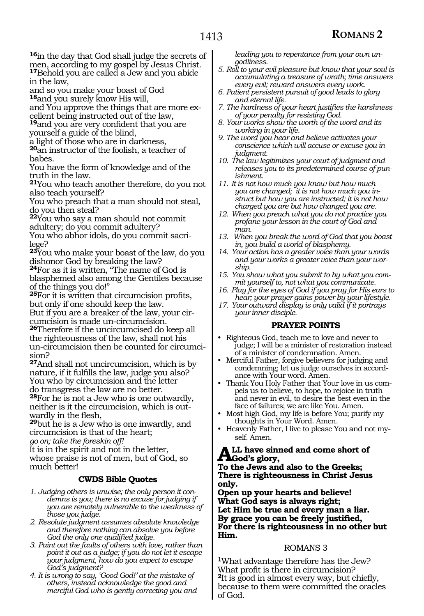**<sup>16</sup>**in the day that God shall judge the secrets of men, according to my gospel by Jesus Christ. **<sup>17</sup>**Behold you are called a Jew and you abide

in the law, and so you make your boast of God **<sup>18</sup>**and you surely know His will,

and You approve the things that are more excellent being instructed out of the law,

**<sup>19</sup>**and you are very confident that you are yourself a guide of the blind,

a light of those who are in darkness, **<sup>20</sup>**an instructor of the foolish, a teacher of babes.

You have the form of knowledge and of the truth in the law.

**<sup>21</sup>**You who teach another therefore, do you not also teach yourself?

You who preach that a man should not steal, do you then steal?

**<sup>22</sup>**You who say a man should not commit adultery; do you commit adultery? You who abhor idols, do you commit sacri-

lege? **<sup>23</sup>**You who make your boast of the law, do you dishonor God by breaking the law?

**<sup>24</sup>**For as it is written, "The name of God is blasphemed also among the Gentiles because of the things you do!"

**<sup>25</sup>**For it is written that circumcision profits, but only if one should keep the law. But if you are a breaker of the law, your circumcision is made un-circumcision.

**<sup>26</sup>**Therefore if the uncircumcised do keep all the righteousness of the law, shall not his un-circumcision then be counted for circumcision?

**<sup>27</sup>**And shall not uncircumcision, which is by nature, if it fulfills the law, judge you also? You who by circumcision and the letter do transgress the law are no better.

**<sup>28</sup>**For he is not a Jew who is one outwardly, neither is it the circumcision, which is outwardly in the flesh,

**<sup>29</sup>**but he is a Jew who is one inwardly, and circumcision is that of the heart;

*go on; take the foreskin off!*

It is in the spirit and not in the letter, whose praise is not of men, but of God, so much better!

#### **CWDS Bible Quotes**

- *1. Judging others is unwise; the only person it condemns is you; there is no excuse for judging if you are remotely vulnerable to the weakness of those you judge.*
- *2. Resolute judgment assumes absolute knowledge and therefore nothing can absolve you before God the only one qualified judge.*
- *3. Paint out the faults of others with love, rather than point it out as a judge; if you do not let it escape your judgment, how do you expect to escape God's judgment?*
- *4. It is wrong to say, 'Good God!' at the mistake of others, instead acknowledge the good and merciful God who is gently correcting you and*

*leading you to repentance from your own ungodliness.*

- *5. Roll to your evil pleasure but know that your soul is accumulating a treasure of wrath; time answers every evil; reward answers every work.*
- *6. Patient persistent pursuit of good leads to glory and eternal life.*
- *7. The hardness of your heart justifies the harshness of your penalty for resisting God.*
- *8. Your works show the worth of the word and its working in your life.*
- *9. The word you hear and believe activates your conscience which will accuse or excuse you in judgment.*
- *10. The law legitimizes your court of judgment and releases you to its predetermined course of punishment.*
- *11. It is not how much you know but how much you are changed; it is not how much you instruct but how you are instructed; it is not how charged you are but how changed you are.*
- *12. When you preach what you do not practice you profane your lesson in the court of God and man.*
- *13. When you break the word of God that you boast in, you build a world of blasphemy.*
- *14. Your action has a greater voice than your words and your works a greater voice than your worship.*
- *15. You show what you submit to by what you commit yourself to, not what you communicate.*
- *16. Play for the eyes of God if you pray for His ears to hear; your prayer gains power by your lifestyle.*
- *17. Your outward display is only valid if it portrays your inner disciple.*

#### **PRAYER POINTS**

- Righteous God, teach me to love and never to judge; I will be a minister of restoration instead of a minister of condemnation. Amen.
- Merciful Father, forgive believers for judging and condemning; let us judge ourselves in accordance with Your word. Amen.
- Thank You Holy Father that Your love in us compels us to believe, to hope, to rejoice in truth and never in evil, to desire the best even in the face of failures; we are like You. Amen.
- Most high God, my life is before You; purify my thoughts in Your Word. Amen.
- Heavenly Father, I live to please You and not myself. Amen.

#### **All have sinned and come short of God's glory,**

**To the Jews and also to the Greeks; There is righteousness in Christ Jesus only.**

**Open up your hearts and believe! What God says is always right; Let Him be true and every man a liar. By grace you can be freely justified, For there is righteousness in no other but Him.**

#### ROMANS 3

**<sup>1</sup>**What advantage therefore has the Jew? What profit is there in circumcision? **<sup>2</sup>**It is good in almost every way, but chiefly, because to them were committed the oracles of God.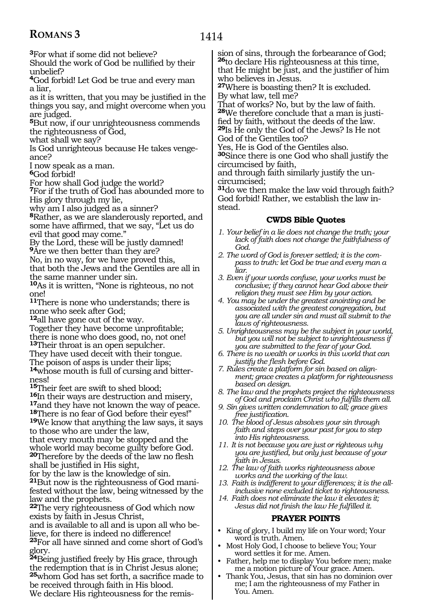1414

**<sup>3</sup>**For what if some did not believe?

Should the work of God be nullified by their unbelief?

**<sup>4</sup>**God forbid! Let God be true and every man a liar,

as it is written, that you may be justified in the things you say, and might overcome when you are judged.

**<sup>5</sup>**But now, if our unrighteousness commends the righteousness of God,

what shall we say?

Is God unrighteous because He takes vengeance?

I now speak as a man.

**<sup>6</sup>**God forbid!

For how shall God judge the world?

**<sup>7</sup>**For if the truth of God has abounded more to His glory through my lie,

why am I also judged as a sinner?

**<sup>8</sup>**Rather, as we are slanderously reported, and some have affirmed, that we say, "Let us do evil that good may come."

By the Lord, these will be justly damned! **<sup>9</sup>**Are we then better than they are?

No, in no way, for we have proved this,

that both the Jews and the Gentiles are all in the same manner under sin.

**<sup>10</sup>**As it is written, "None is righteous, no not one!

**<sup>11</sup>**There is none who understands; there is none who seek after God;

**<sup>12</sup>**all have gone out of the way.

Together they have become unprofitable; there is none who does good, no, not one! **<sup>13</sup>**Their throat is an open sepulcher.

They have used deceit with their tongue.

The poison of asps is under their lips;

**14**whose mouth is full of cursing and bitterness!

<sup>15</sup>Their feet are swift to shed blood;<br><sup>16</sup>In their ways are destruction and misery,

<sup>17</sup>and they have not known the way of peace.<br><sup>18</sup>There is no fear of God before their eyes!"<br><sup>19</sup>We know that anything the law says, it says

to those who are under the law, that every mouth may be stopped and the whole world may become guilty before God. **<sup>20</sup>**Therefore by the deeds of the law no flesh shall be justified in His sight,

for by the law is the knowledge of sin. **21**But now is the righteousness of God manifested without the law, being witnessed by the law and the prophets.

**<sup>22</sup>**The very righteousness of God which now exists by faith in Jesus Christ,

and is available to all and is upon all who be- lieve, for there is indeed no difference! **<sup>23</sup>**For all have sinned and come short of God's glory.

**<sup>24</sup>**Being justified freely by His grace, through the redemption that is in Christ Jesus alone; **<sup>25</sup>**whom God has set forth, a sacrifice made to be received through faith in His blood. We declare His righteousness for the remission of sins, through the forbearance of God; **<sup>26</sup>**to declare His righteousness at this time, that He might be just, and the justifier of him who believes in Jesus.

**<sup>27</sup>**Where is boasting then? It is excluded. By what law, tell me?

That of works? No, but by the law of faith. **28**We therefore conclude that a man is justified by faith, without the deeds of the law. **<sup>29</sup>**Is He only the God of the Jews? Is He not God of the Gentiles too?

Yes, He is God of the Gentiles also.

**<sup>30</sup>**Since there is one God who shall justify the circumcised by faith,

and through faith similarly justify the uncircumcised;

**<sup>31</sup>**do we then make the law void through faith? God forbid! Rather, we establish the law instead.

#### **CWDS Bible Quotes**

- *1. Your belief in a lie does not change the truth; your lack of faith does not change the faithfulness of*  God.<sup>3</sup><br>2. The word of God is forever settled; it is the com-
- *2. The word of God is forever settled; it is the compass to truth: let God be true and every man a liar.*
- *3. Even if your words confuse, your works must be conclusive; if they cannot hear God above their religion they must see Him by your action.*
- *4. You may be under the greatest anointing and be associated with the greatest congregation, but you are all under sin and must all submit to the laws of righteousness.*
- *5. Unrighteousness may be the subject in your world, but you will not be subject to unrighteousness if you are submitted to the fear of your God.*
- *6. There is no wealth or works in this world that can justify the flesh before God.*
- *7. Rules create a platform for sin based on alignment; grace creates a platform for righteousness based on design.*
- *8. The law and the prophets project the righteousness of God and proclaim Christ who fulfills them all.*
- *9. Sin gives written condemnation to all; grace gives free justification.*
- *10. The blood of Jesus absolves your sin through faith and steps over your past for you to step into His righteousness.*
- *11. It is not because you are just or righteous why you are justified, but only just because of your faith in Jesus.*
- *12. The law of faith works righteousness above works and the working of the law.*
- *13. Faith is indifferent to your differences; it is the allinclusive none excluded ticket to righteousness.*
- *14. Faith does not eliminate the law it elevates it; Jesus did not finish the law He fulfilled it.*

#### **PRAYER POINTS**

- King of glory, I build my life on Your word; Your word is truth. Amen.
- Most Holy God, I choose to believe You; Your word settles it for me. Amen.
- Father, help me to display You before men; make me a motion picture of Your grace. Amen.
- Thank You, Jesus, that sin has no dominion over me; I am the righteousness of my Father in You. Amen.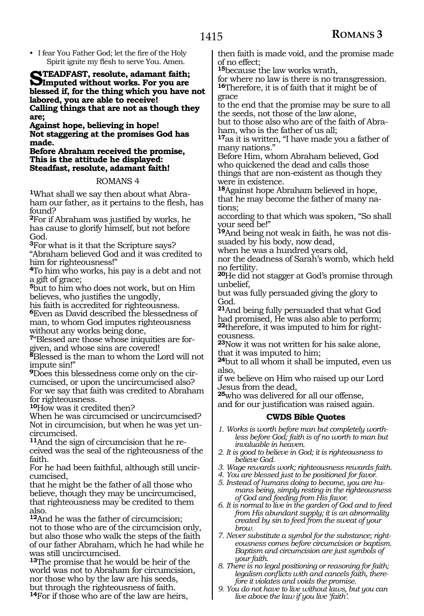• I fear You Father God; let the fire of the Holy Spirit ignite my flesh to serve You. Amen.

**STEADFAST, resolute, adamant faith;**<br> **SImputed without works. For you are**<br> **Integral if for the thing which you have blessed if, for the thing which you have not labored, you are able to receive! Calling things that are not as though they are;**

**Against hope, believing in hope! Not staggering at the promises God has made.**

**Before Abraham received the promise, This is the attitude he displayed: Steadfast, resolute, adamant faith!** 

#### ROMANS 4

**<sup>1</sup>**What shall we say then about what Abra- ham our father, as it pertains to the flesh, has found?

**<sup>2</sup>**For if Abraham was justified by works, he has cause to glorify himself, but not before God.

**<sup>3</sup>**For what is it that the Scripture says? "Abraham believed God and it was credited to him for righteousness!"

**<sup>4</sup>**To him who works, his pay is a debt and not a gift of grace;

**<sup>5</sup>**but to him who does not work, but on Him believes, who justifies the ungodly,

his faith is accredited for righteousness.

**<sup>6</sup>**Even as David described the blessedness of man, to whom God imputes righteousness without any works being done,

**7**"Blessed are those whose iniquities are forgiven, and whose sins are covered!

**<sup>8</sup>**Blessed is the man to whom the Lord will not impute sin!"

**<sup>9</sup>**Does this blessedness come only on the cir- cumcised, or upon the uncircumcised also? For we say that faith was credited to Abraham for righteousness.

**<sup>10</sup>**How was it credited then?

When he was circumcised or uncircumcised? Not in circumcision, but when he was yet uncircumcised.<br><sup>11</sup>And the sign of circumcision that he re-

ceived was the seal of the righteousness of the faith.

For he had been faithful, although still uncir- cumcised,

that he might be the father of all those who believe, though they may be uncircumcised, that righteousness may be credited to them also.

**<sup>12</sup>**And he was the father of circumcision; not to those who are of the circumcision only, but also those who walk the steps of the faith of our father Abraham, which he had while he was still uncircumcised.

**<sup>13</sup>**The promise that he would be heir of the world was not to Abraham for circumcision, nor those who by the law are his seeds, but through the righteousness of faith. **<sup>14</sup>**For if those who are of the law are heirs,

then faith is made void, and the promise made of no effect;

**<sup>15</sup>**because the law works wrath,

for where no law is there is no transgression. **<sup>16</sup>**Therefore, it is of faith that it might be of grace

to the end that the promise may be sure to all the seeds, not those of the law alone, but to those also who are of the faith of Abraham, who is the father of us all;

**<sup>17</sup>**as it is written, "I have made you a father of many nations."

Before Him, whom Abraham believed, God who quickened the dead and calls those things that are non-existent as though they were in existence.

**<sup>18</sup>**Against hope Abraham believed in hope, that he may become the father of many nations;

according to that which was spoken, "So shall your seed be!"

**19**And being not weak in faith, he was not dissuaded by his body, now dead,

when he was a hundred years old,

nor the deadness of Sarah's womb, which held no fertility.

**<sup>20</sup>**He did not stagger at God's promise through unbelief,

but was fully persuaded giving the glory to God.

**<sup>21</sup>**And being fully persuaded that what God had promised, He was also able to perform; **22**therefore, it was imputed to him for right-

eousness. **<sup>23</sup>**Now it was not written for his sake alone, that it was imputed to him;

**<sup>24</sup>**but to all whom it shall be imputed, even us also,

if we believe on Him who raised up our Lord Jesus from the dead,

**<sup>25</sup>**who was delivered for all our offense,

and for our justification was raised again.

#### **CWDS Bible Quotes**

- *1. Works is worth before man but completely worthless before God; faith is of no worth to man but invaluable in heaven.*
- *2. It is good to believe in God; it is righteousness to believe God.*
- *3. Wage rewards work; righteousness rewards faith.*
- *4. You are blessed just to be positioned for favor.*
- *5. Instead of humans doing to become, you are humans being, simply resting in the righteousness of God and feeding from His favor.*
- *6. It is normal to live in the garden of God and to feed from His abundant supply; it is an abnormality created by sin to feed from the sweat of your brow.*
- *7. Never substitute a symbol for the substance; righteousness comes before circumcision or baptism. Baptism and circumcision are just symbols of your faith.*
- *8. There is no legal positioning or reasoning for faith; legalism conflicts with and cancels faith, therefore it violates and voids the promise.*
- *9. You do not have to live without laws, but you can live above the law if you live 'faith'.*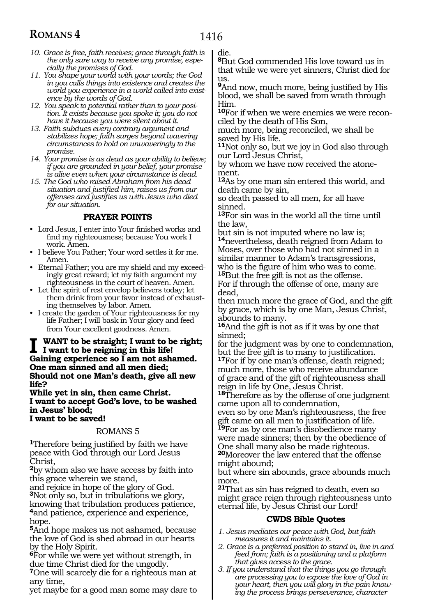- *10. Grace is free, faith receives; grace through faith is the only sure way to receive any promise, especially the promises of God.*
- *11. You shape your world with your words; the God in you calls things into existence and creates the world you experience in a world called into existence by the words of God.*
- *12. You speak to potential rather than to your position. It exists because you spoke it; you do not have it because you were silent about it.*
- *13. Faith subdues every contrary argument and stabilizes hope; faith surges beyond wavering circumstances to hold on unwaveringly to the promise.*
- *14. Your promise is as dead as your ability to believe; if you are grounded in your belief, your promise is alive even when your circumstance is dead.*
- *15. The God who raised Abraham from his dead situation and justified him, raises us from our offenses and justifies us with Jesus who died for our situation.*

#### **PRAYER POINTS**

- Lord Jesus, I enter into Your finished works and find my righteousness; because You work I work. Amen.
- I believe You Father; Your word settles it for me. Amen.
- Eternal Father; you are my shield and my exceedingly great reward; let my faith argument my righteousness in the court of heaven. Amen.
- Let the spirit of rest envelop believers today; let them drink from your favor instead of exhausting themselves by labor. Amen.
- I create the garden of Your righteousness for my life Father; I will bask in Your glory and feed from Your excellent goodness. Amen.

#### **I want to be straight; I want to be right; I want to be reigning in this life! Gaining experience so I am not ashamed. One man sinned and all men died; Should not one Man's death, give all new life?**

**While yet in sin, then came Christ. I want to accept God's love, to be washed in Jesus' blood; I want to be saved!** 

#### ROMANS 5

**<sup>1</sup>**Therefore being justified by faith we have peace with God through our Lord Jesus Christ,

**<sup>2</sup>**by whom also we have access by faith into this grace wherein we stand,

and rejoice in hope of the glory of God. **<sup>3</sup>**Not only so, but in tribulations we glory, knowing that tribulation produces patience, **<sup>4</sup>**and patience, experience and experience, hope.

**<sup>5</sup>**And hope makes us not ashamed, because the love of God is shed abroad in our hearts by the Holy Spirit.

**<sup>6</sup>**For while we were yet without strength, in due time Christ died for the ungodly.

**<sup>7</sup>**One will scarcely die for a righteous man at any time,

yet maybe for a good man some may dare to

die.

**<sup>8</sup>**But God commended His love toward us in that while we were yet sinners, Christ died for us.

**<sup>9</sup>**And now, much more, being justified by His blood, we shall be saved from wrath through Him.

**10**For if when we were enemies we were reconciled by the death of His Son,

much more, being reconciled, we shall be saved by His life.

**<sup>11</sup>**Not only so, but we joy in God also through our Lord Jesus Christ,

by whom we have now received the atonement.

**<sup>12</sup>**As by one man sin entered this world, and death came by sin,

so death passed to all men, for all have sinned.

**<sup>13</sup>**For sin was in the world all the time until the law,

but sin is not imputed where no law is; **<sup>14</sup>**nevertheless, death reigned from Adam to Moses, over those who had not sinned in a similar manner to Adam's transgressions,<br>who is the figure of him who was to come. <sup>15</sup>But the free gift is not as the offense.

For if through the offense of one, many are dead,

then much more the grace of God, and the gift by grace, which is by one Man, Jesus Christ, abounds to many.

**<sup>16</sup>**And the gift is not as if it was by one that sinned;

for the judgment was by one to condemnation, but the free gift is to many to justification. **<sup>17</sup>**For if by one man's offense, death reigned; much more, those who receive abundance of grace and of the gift of righteousness shall reign in life by One, Jesus Christ.

**<sup>18</sup>**Therefore as by the offense of one judgment came upon all to condemnation,

even so by one Man's righteousness, the free gift came on all men to justification of life.

**<sup>19</sup>**For as by one man's disobedience many were made sinners; then by the obedience of One shall many also be made righteous. **<sup>20</sup>**Moreover the law entered that the offense

might abound;

but where sin abounds, grace abounds much more.

**<sup>21</sup>**That as sin has reigned to death, even so might grace reign through righteousness unto eternal life, by Jesus Christ our Lord!

#### **CWDS Bible Quotes**

- *1. Jesus mediates our peace with God, but faith measures it and maintains it.*
- *2. Grace is a preferred position to stand in, live in and feed from; faith is a positioning and a platform that gives access to the grace.*
- *3. If you understand that the things you go through are processing you to expose the love of God in your heart, then you will glory in the pain knowing the process brings perseverance, character*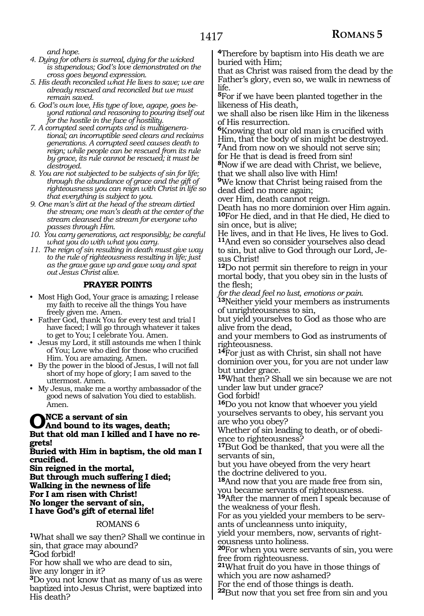*and hope.*

- *4. Dying for others is surreal, dying for the wicked is stupendous; God's love demonstrated on the cross goes beyond expression.*
- *5. His death reconciled what He lives to save; we are already rescued and reconciled but we must remain saved.*
- *6. God's own love, His type of love, agape, goes beyond rational and reasoning to pouring itself out for the hostile in the face of hostility.*
- *7. A corrupted seed corrupts and is multigenerational; an incorruptible seed clears and reclaims generations. A corrupted seed causes death to reign; while people can be rescued from its rule by grace, its rule cannot be rescued; it must be destroyed.*
- *8. You are not subjected to be subjects of sin for life; through the abundance of grace and the gift of righteousness you can reign with Christ in life so that everything is subject to you.*
- *9. One man's dirt at the head of the stream dirtied the stream; one man's death at the center of the stream cleansed the stream for everyone who passes through Him.*
- *10. You carry generations, act responsibly; be careful what you do with what you carry.*
- *11. The reign of sin resulting in death must give way to the rule of righteousness resulting in life; just as the grave gave up and gave way and spat out Jesus Christ alive.*

#### **PRAYER POINTS**

- Most High God, Your grace is amazing; I release my faith to receive all the things You have freely given me. Amen.
- Father God, thank You for every test and trial I have faced; I will go through whatever it takes to get to You; I celebrate You. Amen.
- Jesus my Lord, it still astounds me when I think of You; Love who died for those who crucified Him. You are amazing. Amen.
- By the power in the blood of Jesus, I will not fall short of my hope of glory; I am saved to the uttermost. Amen.
- My Jesus, make me a worthy ambassador of the good news of salvation You died to establish. Amen.

# **O**NCE a servant of sin<br> **O**And bound to its wages, death;<br>
Put that ald man I billed and I have **But that old man I killed and I have no re- grets!**

**Buried with Him in baptism, the old man I crucified.**

**Sin reigned in the mortal, But through much suffering I died; Walking in the newness of life For I am risen with Christ! No longer the servant of sin, I have God's gift of eternal life!**

#### ROMANS 6

**<sup>1</sup>**What shall we say then? Shall we continue in sin, that grace may abound?

**<sup>2</sup>**God forbid!

For how shall we who are dead to sin,

live any longer in it?

**<sup>3</sup>**Do you not know that as many of us as were baptized into Jesus Christ, were baptized into His death?

**<sup>4</sup>**Therefore by baptism into His death we are buried with Him;

that as Christ was raised from the dead by the Father's glory, even so, we walk in newness of life.

**<sup>5</sup>**For if we have been planted together in the likeness of His death,

we shall also be risen like Him in the likeness of His resurrection.

**<sup>6</sup>**Knowing that our old man is crucified with Him, that the body of sin might be destroyed. **<sup>7</sup>**And from now on we should not serve sin;

for He that is dead is freed from sin!

**<sup>8</sup>**Now if we are dead with Christ, we believe, that we shall also live with Him!

**<sup>9</sup>**We know that Christ being raised from the dead died no more again;

over Him, death cannot reign.

Death has no more dominion over Him again. **<sup>10</sup>**For He died, and in that He died, He died to sin once, but is alive;

He lives, and in that He lives, He lives to God. **<sup>11</sup>**And even so consider yourselves also dead to sin, but alive to God through our Lord, Jesus Christ!

**<sup>12</sup>**Do not permit sin therefore to reign in your mortal body, that you obey sin in the lusts of the flesh;

*for the dead feel no lust, emotions or pain.*

**<sup>13</sup>**Neither yield your members as instruments of unrighteousness to sin,

but yield yourselves to God as those who are alive from the dead,

and your members to God as instruments of righteousness.

**<sup>14</sup>**For just as with Christ, sin shall not have dominion over you, for you are not under law but under grace.

**<sup>15</sup>**What then? Shall we sin because we are not under law but under grace?

God forbid! **<sup>16</sup>**Do you not know that whoever you yield yourselves servants to obey, his servant you are who you obey?

Whether of sin leading to death, or of obedi- ence to righteousness?

**<sup>17</sup>**But God be thanked, that you were all the servants of sin,

but you have obeyed from the very heart the doctrine delivered to you.

**<sup>18</sup>**And now that you are made free from sin, you became servants of righteousness.

**<sup>19</sup>**After the manner of men I speak because of the weakness of your flesh.

For as you yielded your members to be servants of uncleanness unto iniquity,

yield your members, now, servants of righteousness unto holiness.

**<sup>20</sup>**For when you were servants of sin, you were free from righteousness.

**<sup>21</sup>**What fruit do you have in those things of which you are now ashamed?

For the end of those things is death.

**<sup>22</sup>**But now that you set free from sin and you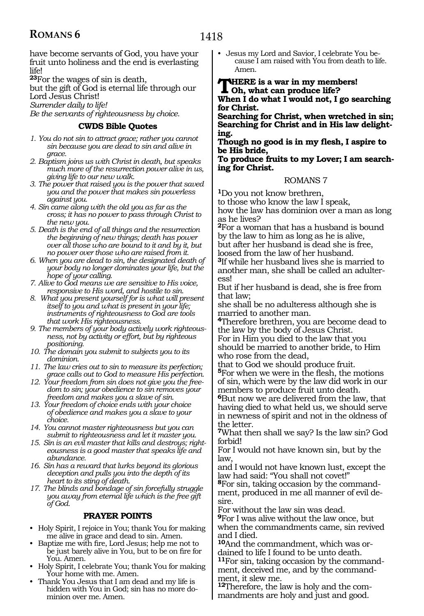1418

have become servants of God, you have your fruit unto holiness and the end is everlasting life!

**<sup>23</sup>**For the wages of sin is death,

but the gift of God is eternal life through our Lord Jesus Christ!

*Surrender daily to life!*

*Be the servants of righteousness by choice.*

#### **CWDS Bible Quotes**

- *1. You do not sin to attract grace; rather you cannot sin because you are dead to sin and alive in grace.*
- *2. Baptism joins us with Christ in death, but speaks much more of the resurrection power alive in us, giving life to our new walk.*
- *3. The power that raised you is the power that saved you and the power that makes sin powerless against you.*
- *4. Sin came along with the old you as far as the cross; it has no power to pass through Christ to the new you.*
- *5. Death is the end of all things and the resurrection the beginning of new things; death has power over all those who are bound to it and by it, but no power over those who are raised from it.*
- *6. When you are dead to sin, the designated death of your body no longer dominates your life, but the hope of your calling.*
- *7. Alive to God means we are sensitive to His voice, responsive to His word, and hostile to sin.*
- *8. What you present yourself for is what will present itself to you and what is present in your life; instruments of righteousness to God are tools that work His righteousness.*
- *9. The members of your body actively work righteousness, not by activity or effort, but by righteous positioning.*
- *10. The domain you submit to subjects you to its dominion.*
- *11. The law cries out to sin to measure its perfection; grace calls out to God to measure His perfection.*
- *12. Your freedom from sin does not give you the freedom to sin; your obedience to sin removes your freedom and makes you a slave of sin.*
- *13. Your freedom of choice ends with your choice of obedience and makes you a slave to your choice.*
- *14. You cannot master righteousness but you can submit to righteousness and let it master you.*
- *15. Sin is an evil master that kills and destroys; righteousness is a good master that speaks life and abundance.*
- *16. Sin has a reward that lurks beyond its glorious deception and pulls you into the depth of its heart to its sting of death.*
- *17. The blinds and bondage of sin forcefully struggle you away from eternal life which is the free gift of God.*

#### **PRAYER POINTS**

- Holy Spirit, I rejoice in You; thank You for making me alive in grace and dead to sin. Amen.
- Baptize me with fire, Lord Jesus; help me not to be just barely alive in You, but to be on fire for You. Amen.
- Holy Spirit, I celebrate You; thank You for making Your home with me. Amen.
- Thank You Jesus that I am dead and my life is hidden with You in God; sin has no more dominion over me. Amen.

• Jesus my Lord and Savior, I celebrate You because I am raised with You from death to life. Amen.

#### **There is a war in my members! Oh, what can produce life? When I do what I would not, I go searching for Christ.**

**Searching for Christ, when wretched in sin; Searching for Christ and in His law delight- ing.**

**Though no good is in my flesh, I aspire to be His bride,**

**To produce fruits to my Lover; I am search- ing for Christ.**

#### ROMANS 7

**<sup>1</sup>**Do you not know brethren,

to those who know the law I speak,

how the law has dominion over a man as long as he lives?

**<sup>2</sup>**For a woman that has a husband is bound by the law to him as long as he is alive, but after her husband is dead she is free,

loosed from the law of her husband. **<sup>3</sup>**If while her husband lives she is married to another man, she shall be called an adulter-

ess!

But if her husband is dead, she is free from that law;

she shall be no adulteress although she is married to another man.

**<sup>4</sup>**Therefore brethren, you are become dead to the law by the body of Jesus Christ.

For in Him you died to the law that you should be married to another bride, to Him who rose from the dead,

that to God we should produce fruit.

**<sup>5</sup>**For when we were in the flesh, the motions of sin, which were by the law did work in our members to produce fruit unto death.

**<sup>6</sup>**But now we are delivered from the law, that having died to what held us, we should serve in newness of spirit and not in the oldness of the letter.

**<sup>7</sup>**What then shall we say? Is the law sin? God forbid!

For I would not have known sin, but by the law,

and I would not have known lust, except the law had said: "You shall not covet!"

**8**For sin, taking occasion by the commandment, produced in me all manner of evil desire.

For without the law sin was dead.

**<sup>9</sup>**For I was alive without the law once, but when the commandments came, sin revived and I died.

**10**And the commandment, which was ordained to life I found to be unto death.

**<sup>11</sup>**For sin, taking occasion by the command- ment, deceived me, and by the command- ment, it slew me.

**12**Therefore, the law is holy and the commandments are holy and just and good.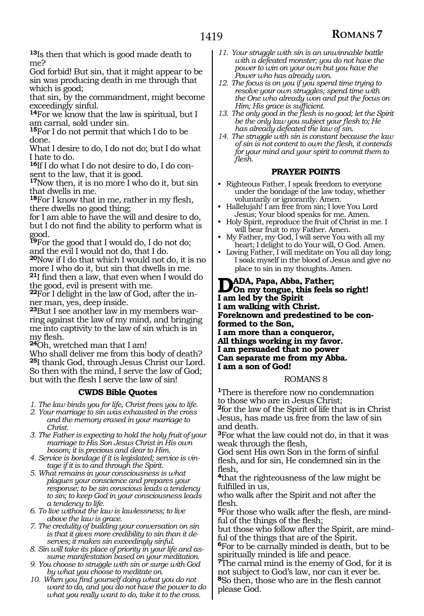**<sup>13</sup>**Is then that which is good made death to me?

God forbid! But sin, that it might appear to be sin was producing death in me through that which is good;

that sin, by the commandment, might become exceedingly sinful.

**<sup>14</sup>**For we know that the law is spiritual, but I am carnal, sold under sin.

**<sup>15</sup>**For I do not permit that which I do to be done.

What I desire to do, I do not do; but I do what I hate to do.

**16**If I do what I do not desire to do, I do consent to the law, that it is good.

**<sup>17</sup>**Now then, it is no more I who do it, but sin that dwells in me.

**<sup>18</sup>**For I know that in me, rather in my flesh, there dwells no good thing;

for I am able to have the will and desire to do, but I do not find the ability to perform what is good.

**<sup>19</sup>**For the good that I would do, I do not do; and the evil I would not do, that I do.

**<sup>20</sup>**Now if I do that which I would not do, it is no more I who do it, but sin that dwells in me. **<sup>21</sup>**I find then a law, that even when I would do

the good, evil is present with me. **22**For I delight in the law of God, after the in-

ner man, yes, deep inside. **23**But I see another law in my members warring against the law of my mind, and bringing me into captivity to the law of sin which is in my flesh.

**<sup>24</sup>**Oh, wretched man that I am!

Who shall deliver me from this body of death? **<sup>25</sup>**I thank God, through Jesus Christ our Lord. So then with the mind, I serve the law of God; but with the flesh I serve the law of sin!

#### **CWDS Bible Quotes**

*1. The law binds you for life, Christ frees you to life.*

- *2. Your marriage to sin was exhausted in the cross and the memory erased in your marriage to Christ.*
- *3. The Father is expecting to hold the holy fruit of your marriage to His Son Jesus Christ in His own bosom; it is precious and dear to Him.*
- *4. Service is bondage if it is legislated; service is vintage if it is to and through the Spirit.*
- *5. What remains in your consciousness is what plagues your conscience and prepares your response; to be sin conscious leads a tendency to sin; to keep God in your consciousness leads a tendency to life.*
- *6. To live without the law is lawlessness; to live above the law is grace.*
- *7. The credulity of building your conversation on sin is that it gives more credibility to sin than it deserves; it makes sin exceedingly sinful.*
- *8. Sin will take its place of priority in your life and assume manifestation based on your meditation.*
- *9. You choose to struggle with sin or surge with God by what you choose to meditate on.*
- *10. When you find yourself doing what you do not want to do, and you do not have the power to do what you really want to do, take it to the cross.*
- *11. Your struggle with sin is an unwinnable battle with a defeated monster; you do not have the power to win on your own but you have the Power who has already won.*
- *12. The focus is on you if you spend time trying to resolve your own struggles; spend time with the One who already won and put the focus on Him; His grace is sufficient.*
- *13. The only good in the flesh is no good; let the Spirit be the only law you subject your flesh to; He has already defeated the law of sin.*
- *14. The struggle with sin is constant because the law of sin is not content to own the flesh, it contends for your mind and your spirit to commit them to flesh.*

#### **PRAYER POINTS**

- Righteous Father, I speak freedom to everyone under the bondage of the law today, whether voluntarily or ignorantly. Amen.
- Hallelujah! I am free from sin; I love You Lord Jesus; Your blood speaks for me. Amen.
- Holy Spirit, reproduce the fruit of Christ in me. I will bear fruit to my Father. Amen.
- My Father, my God, I will serve You with all my heart; I delight to do Your will, O God. Amen.
- Loving Father, I will meditate on You all day long; I soak myself in the blood of Jesus and give no place to sin in my thoughts. Amen.

**D**ADA, Papa, Abba, Father;<br> **Don** my tongue, this feels so right! **I am led by the Spirit I am walking with Christ. Foreknown and predestined to be conformed to the Son, I am more than a conqueror, All things working in my favor. I am persuaded that no power Can separate me from my Abba. I am a son of God!**

#### ROMANS 8

**<sup>1</sup>**There is therefore now no condemnation to those who are in Jesus Christ; **<sup>2</sup>**for the law of the Spirit of life that is in Christ Jesus, has made us free from the law of sin and death.

**<sup>3</sup>**For what the law could not do, in that it was weak through the flesh,

God sent His own Son in the form of sinful flesh, and for sin, He condemned sin in the flesh,

**<sup>4</sup>**that the righteousness of the law might be fulfilled in us,

who walk after the Spirit and not after the flesh.

**5**For those who walk after the flesh, are mindful of the things of the flesh;

but those who follow after the Spirit, are mindful of the things that are of the Spirit.

**<sup>6</sup>**For to be carnally minded is death, but to be spiritually minded is life and peace.

**<sup>7</sup>**The carnal mind is the enemy of God, for it is not subject to God's law, nor can it ever be. **<sup>8</sup>**So then, those who are in the flesh cannot please God.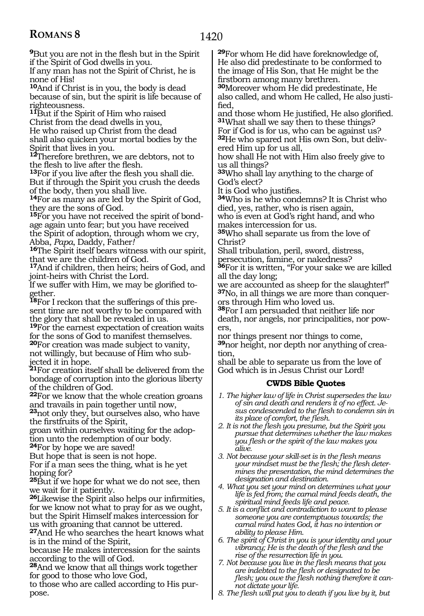**<sup>9</sup>**But you are not in the flesh but in the Spirit if the Spirit of God dwells in you.

If any man has not the Spirit of Christ, he is none of His!

**<sup>10</sup>**And if Christ is in you, the body is dead because of sin, but the spirit is life because of righteousness.

**<sup>11</sup>**But if the Spirit of Him who raised Christ from the dead dwells in you, He who raised up Christ from the dead shall also quicken your mortal bodies by the Spirit that lives in you.

**<sup>12</sup>**Therefore brethren, we are debtors, not to the flesh to live after the flesh.

**<sup>13</sup>**For if you live after the flesh you shall die. But if through the Spirit you crush the deeds of the body, then you shall live.

**<sup>14</sup>**For as many as are led by the Spirit of God, they are the sons of God.

**<sup>15</sup>**For you have not received the spirit of bond- age again unto fear; but you have received the Spirit of adoption, through whom we cry, Abba, *Papa*, Daddy, Father*!*

**<sup>16</sup>**The Spirit itself bears witness with our spirit, that we are the children of God.

**<sup>17</sup>**And if children, then heirs; heirs of God, and joint-heirs with Christ the Lord.

If we suffer with Him, we may be glorified to- gether.

**<sup>18</sup>**For I reckon that the sufferings of this pre- sent time are not worthy to be compared with the glory that shall be revealed in us.

**<sup>19</sup>**For the earnest expectation of creation waits for the sons of God to manifest themselves.

**<sup>20</sup>**For creation was made subject to vanity, not willingly, but because of Him who sub- jected it in hope.

**<sup>21</sup>**For creation itself shall be delivered from the bondage of corruption into the glorious liberty of the children of God.

**<sup>22</sup>**For we know that the whole creation groans and travails in pain together until now,

**<sup>23</sup>**not only they, but ourselves also, who have the firstfruits of the Spirit,

groan within ourselves waiting for the adoption unto the redemption of our body.

**<sup>24</sup>**For by hope we are saved!

But hope that is seen is not hope.

For if a man sees the thing, what is he yet hoping for?

**<sup>25</sup>**But if we hope for what we do not see, then we wait for it patiently.

**<sup>26</sup>**Likewise the Spirit also helps our infirmities, for we know not what to pray for as we ought, but the Spirit Himself makes intercession for us with groaning that cannot be uttered.

**<sup>27</sup>**And He who searches the heart knows what is in the mind of the Spirit,

because He makes intercession for the saints according to the will of God.

**<sup>28</sup>**And we know that all things work together for good to those who love God,

to those who are called according to His purpose.

**<sup>29</sup>**For whom He did have foreknowledge of, He also did predestinate to be conformed to the image of His Son, that He might be the firstborn among many brethren.

**<sup>30</sup>**Moreover whom He did predestinate, He also called, and whom He called, He also justi- fied,

and those whom He justified, He also glorified. **<sup>31</sup>**What shall we say then to these things?

For if God is for us, who can be against us? **<sup>32</sup>**He who spared not His own Son, but deliv- ered Him up for us all,

how shall He not with Him also freely give to us all things?

**<sup>33</sup>**Who shall lay anything to the charge of God's elect?

It is God who justifies.

**<sup>34</sup>**Who is he who condemns? It is Christ who died, yes, rather, who is risen again,

who is even at God's right hand, and who makes intercession for us.

**<sup>35</sup>**Who shall separate us from the love of Christ?

Shall tribulation, peril, sword, distress,

persecution, famine, or nakedness?

**<sup>36</sup>**For it is written, "For your sake we are killed all the day long;

we are accounted as sheep for the slaughter!" **<sup>37</sup>**No, in all things we are more than conquer- ors through Him who loved us.

**<sup>38</sup>**For I am persuaded that neither life nor death, nor angels, nor principalities, nor pow- ers,

nor things present nor things to come, **<sup>39</sup>**nor height, nor depth nor anything of crea- tion,

shall be able to separate us from the love of God which is in Jesus Christ our Lord!

#### **CWDS Bible Quotes**

*1. The higher law of life in Christ supersedes the law of sin and death and renders it of no effect. Jesus condescended to the flesh to condemn sin in its place of comfort, the flesh.*

- *2. It is not the flesh you presume, but the Spirit you pursue that determines whether the law makes you flesh or the spirit of the law makes you alive.*
- *3. Not because your skill-set is in the flesh means your mindset must be the flesh; the flesh determines the presentation, the mind determines the designation and destination.*
- *4. What you set your mind on determines what your life is fed from; the carnal mind feeds death, the spiritual mind feeds life and peace.*
- *5. It is a conflict and contradiction to want to please someone you are contemptuous towards; the carnal mind hates God, it has no intention or ability to please Him.*
- *6. The spirit of Christ in you is your identity and your vibrancy; He is the death of the flesh and the rise of the resurrection life in you.*
- *7. Not because you live in the flesh means that you are indebted to the flesh or designated to be flesh; you owe the flesh nothing therefore it cannot dictate your life.*
- *8. The flesh will put you to death if you live by it, but*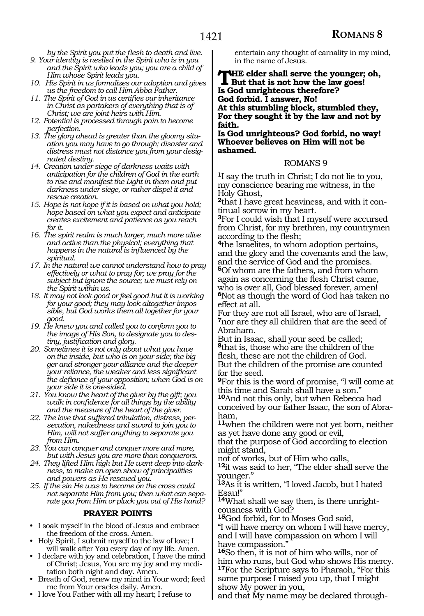*by the Spirit you put the flesh to death and live.*

- *9. Your identity is nestled in the Spirit who is in you and the Spirit who leads you; you are a child of Him whose Spirit leads you.*
- *10. His Spirit in us formalizes our adoption and gives us the freedom to call Him Abba Father.*
- *11. The Spirit of God in us certifies our inheritance in Christ as partakers of everything that is of Christ; we are joint-heirs with Him.*
- *12. Potential is processed through pain to become perfection.*
- *13. The glory ahead is greater than the gloomy situation you may have to go through; disaster and distress must not distance you from your designated destiny.*
- *14. Creation under siege of darkness waits with anticipation for the children of God in the earth to rise and manifest the Light in them and put darkness under siege, or rather dispel it and rescue creation.*
- *15. Hope is not hope if it is based on what you hold; hope based on what you expect and anticipate creates excitement and patience as you reach for it.*
- *16. The spirit realm is much larger, much more alive and active than the physical; everything that happens in the natural is influenced by the spiritual.*
- *17. In the natural we cannot understand how to pray effectively or what to pray for; we pray for the subject but ignore the source; we must rely on the Spirit within us.*
- *18. It may not look good or feel good but it is working for your good; they may look altogether impossible, but God works them all together for your good.*
- *19. He knew you and called you to conform you to the image of His Son, to designate you to destiny, justification and glory.*
- *20. Sometimes it is not only about what you have on the inside, but who is on your side; the bigger and stronger your alliance and the deeper your reliance, the weaker and less significant the defiance of your opposition; when God is on your side it is one-sided.*
- *21. You know the heart of the giver by the gift; you walk in confidence for all things by the ability and the measure of the heart of the giver.*
- *22. The love that suffered tribulation, distress, persecution, nakedness and sword to join you to Him, will not suffer anything to separate you from Him.*
- *23. You can conquer and conquer more and more, but with Jesus you are more than conquerors.*
- *24. They lifted Him high but He went deep into darkness, to make an open show of principalities and powers as He rescued you.*
- *25. If the sin He was to become on the cross could not separate Him from you; then what can separate you from Him or pluck you out of His hand?*

#### **PRAYER POINTS**

- I soak myself in the blood of Jesus and embrace the freedom of the cross. Amen.
- Holy Spirit, I submit myself to the law of love; I will walk after You every day of my life. Amen.
- I declare with joy and celebration, I have the mind of Christ; Jesus, You are my joy and my meditation both night and day. Amen.
- Breath of God, renew my mind in Your word; feed me from Your oracles daily. Amen.
- I love You Father with all my heart; I refuse to

entertain any thought of carnality in my mind, in the name of Jesus.

**THE elder shall serve the younger; oh,**<br>But that is not how the law goes! **Is God unrighteous therefore? God forbid. I answer, No! At this stumbling block, stumbled they, For they sought it by the law and not by faith.**

**Is God unrighteous? God forbid, no way! Whoever believes on Him will not be ashamed.**

#### ROMANS 9

**<sup>1</sup>**I say the truth in Christ; I do not lie to you, my conscience bearing me witness, in the Holy Ghost,

**2**that I have great heaviness, and with it continual sorrow in my heart.

**<sup>3</sup>**For I could wish that I myself were accursed from Christ, for my brethren, my countrymen

<sup>4</sup>the Israelites, to whom adoption pertains, and the glory and the covenants and the law, and the service of God and the promises. **<sup>5</sup>**Of whom are the fathers, and from whom again as concerning the flesh Christ came, who is over all, God blessed forever, amen! **<sup>6</sup>**Not as though the word of God has taken no effect at all.

For they are not all Israel, who are of Israel, **<sup>7</sup>**nor are they all children that are the seed of Abraham.

But in Isaac, shall your seed be called; **<sup>8</sup>**that is, those who are the children of the flesh, these are not the children of God. But the children of the promise are counted for the seed.

**<sup>9</sup>**For this is the word of promise, "I will come at this time and Sarah shall have a son."

**<sup>10</sup>**And not this only, but when Rebecca had conceived by our father Isaac, the son of Abraham,

**<sup>11</sup>**when the children were not yet born, neither as yet have done any good or evil,

that the purpose of God according to election might stand,

not of works, but of Him who calls,

**<sup>12</sup>**it was said to her, "The elder shall serve the younger."

**<sup>13</sup>**As it is written, "I loved Jacob, but I hated Esau!"

**14**What shall we say then, is there unrighteousness with God?

**<sup>15</sup>**God forbid, for to Moses God said,

"I will have mercy on whom I will have mercy, and I will have compassion on whom I will have compassion."

**<sup>16</sup>**So then, it is not of him who wills, nor of him who runs, but God who shows His mercy. **<sup>17</sup>**For the Scripture says to Pharaoh, "For this same purpose I raised you up, that I might show My power in you,

and that My name may be declared through-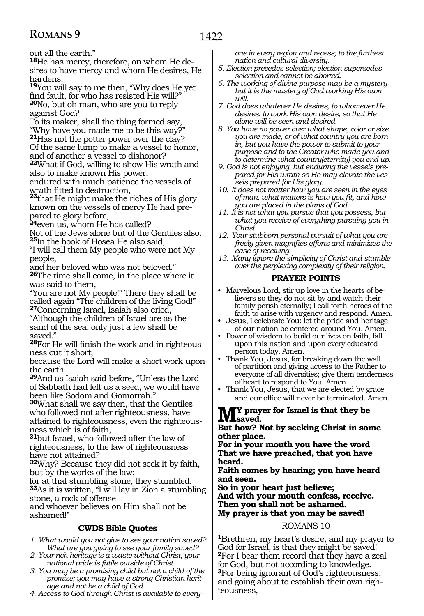out all the earth."

**18**He has mercy, therefore, on whom He desires to have mercy and whom He desires, He hardens.

**<sup>19</sup>**You will say to me then, "Why does He yet find fault, for who has resisted His will?" **<sup>20</sup>**No, but oh man, who are you to reply against God?

To its maker, shall the thing formed say, "Why have you made me to be this way?" **<sup>21</sup>**Has not the potter power over the clay? Of the same lump to make a vessel to honor,

and of another a vessel to dishonor? **<sup>22</sup>**What if God, willing to show His wrath and also to make known His power,

endured with much patience the vessels of

wrath fitted to destruction, **23**that He might make the riches of His glory known on the vessels of mercy He had prepared to glory before,

**<sup>24</sup>**even us, whom He has called?

Not of the Jews alone but of the Gentiles also. **<sup>25</sup>**In the book of Hosea He also said,

"I will call them My people who were not My people,

and her beloved who was not beloved." **<sup>26</sup>**The time shall come, in the place where it was said to them,

"You are not My people!" There they shall be called again "The children of the living God!" **<sup>27</sup>**Concerning Israel, Isaiah also cried,

"Although the children of Israel are as the sand of the sea, only just a few shall be saved."

**<sup>28</sup>**For He will finish the work and in righteous- ness cut it short;

because the Lord will make a short work upon the earth.

**<sup>29</sup>**And as Isaiah said before, "Unless the Lord of Sabbath had left us a seed, we would have been like Sodom and Gomorrah."

**<sup>30</sup>**What shall we say then, that the Gentiles who followed not after righteousness, have attained to righteousness, even the righteousness which is of faith,

**<sup>31</sup>**but Israel, who followed after the law of righteousness, to the law of righteousness have not attained?

**<sup>32</sup>**Why? Because they did not seek it by faith, but by the works of the law;

for at that stumbling stone, they stumbled. **<sup>33</sup>**As it is written, "I will lay in Zion a stumbling stone, a rock of offense

and whoever believes on Him shall not be ashamed!"

#### **CWDS Bible Quotes**

- *1. What would you not give to see your nation saved? What are you giving to see your family saved?*
- *2. Your rich heritage is a waste without Christ; your national pride is futile outside of Christ.*
- *3. You may be a promising child but not a child of the promise; you may have a strong Christian heritage and not be a child of God.*
- *4. Access to God through Christ is available to every-*

*one in every region and recess; to the furthest nation and cultural diversity.* 

- *5. Election precedes selection; election supersedes selection and cannot be aborted.*
- *6. The working of divine purpose may be a mystery but it is the mastery of God working His own will.*
- *7. God does whatever He desires, to whomever He desires, to work His own desire, so that He alone will be seen and desired.*
- *8. You have no power over what shape, color or size you are made, or of what country you are born in, but you have the power to submit to your purpose and to the Creator who made you and to determine what country(eternity) you end up.*
- *9. God is not enjoying, but enduring the vessels prepared for His wrath so He may elevate the vessels prepared for His glory.*
- *10. It does not matter how you are seen in the eyes of man, what matters is how you fit, and how you are placed in the plans of God.*
- *11. It is not what you pursue that you possess, but what you receive of everything pursuing you in Christ.*
- *12. Your stubborn personal pursuit of what you are freely given magnifies efforts and minimizes the ease of receiving.*
- *13. Many ignore the simplicity of Christ and stumble over the perplexing complexity of their religion.*

#### **PRAYER POINTS**

- Marvelous Lord, stir up love in the hearts of believers so they do not sit by and watch their family perish eternally; I call forth heroes of the faith to arise with urgency and respond. Amen.
- Jesus, I celebrate You; let the pride and heritage of our nation be centered around You. Amen.
- Power of wisdom to build our lives on faith, fall upon this nation and upon every educated person today. Amen.
- Thank You, Jesus, for breaking down the wall of partition and giving access to the Father to everyone of all diversities; give them tenderness of heart to respond to You. Amen.
- Thank You, Jesus, that we are elected by grace and our office will never be terminated. Amen.

#### **My prayer for Israel is that they be LVL**saved.

#### **But how? Not by seeking Christ in some other place.**

**For in your mouth you have the word That we have preached, that you have heard.** 

**Faith comes by hearing; you have heard and seen.**

**So in your heart just believe;**

**And with your mouth confess, receive. Then you shall not be ashamed. My prayer is that you may be saved!**

#### ROMANS 10

**<sup>1</sup>**Brethren, my heart's desire, and my prayer to God for Israel, is that they might be saved! **<sup>2</sup>**For I bear them record that they have a zeal for God, but not according to knowledge. **<sup>3</sup>**For being ignorant of God's righteousness, and going about to establish their own righteousness,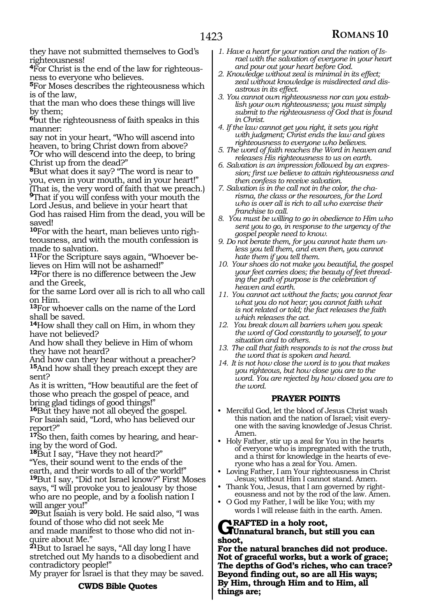they have not submitted themselves to God's righteousness!

**4**For Christ is the end of the law for righteousness to everyone who believes.

**<sup>5</sup>**For Moses describes the righteousness which is of the law,

that the man who does these things will live by them;

**<sup>6</sup>**but the righteousness of faith speaks in this manner:

say not in your heart, "Who will ascend into heaven, to bring Christ down from above? **<sup>7</sup>**Or who will descend into the deep, to bring Christ up from the dead?"

**<sup>8</sup>**But what does it say? "The word is near to you, even in your mouth, and in your heart!" (That is, the very word of faith that we preach.) **<sup>9</sup>**That if you will confess with your mouth the

Lord Jesus, and believe in your heart that God has raised Him from the dead, you will be saved!

**10**For with the heart, man believes unto righteousness, and with the mouth confession is made to salvation.

**11**For the Scripture says again, "Whoever believes on Him will not be ashamed!"

**<sup>12</sup>**For there is no difference between the Jew and the Greek,

for the same Lord over all is rich to all who call on Him.

**<sup>13</sup>**For whoever calls on the name of the Lord shall be saved.

**<sup>14</sup>**How shall they call on Him, in whom they have not believed?

And how shall they believe in Him of whom they have not heard?

And how can they hear without a preacher? **<sup>15</sup>**And how shall they preach except they are sent?

As it is written, "How beautiful are the feet of those who preach the gospel of peace, and bring glad tidings of good things!"

**<sup>16</sup>**But they have not all obeyed the gospel. For Isaiah said, "Lord, who has believed our report?"

**17**So then, faith comes by hearing, and hearing by the word of God.

**<sup>18</sup>**But I say, "Have they not heard?"

"Yes, their sound went to the ends of the earth, and their words to all of the world!" **<sup>19</sup>**But I say, "Did not Israel know?" First Moses says, "I will provoke you to jealousy by those who are no people, and by a foolish nation I will anger you!"

**<sup>20</sup>**But Isaiah is very bold. He said also, "I was found of those who did not seek Me and made manifest to those who did not in-<br>quire about Me."

**<sup>21</sup>**But to Israel he says, "All day long I have stretched out My hands to a disobedient and contradictory people!"

My prayer for Israel is that they may be saved.

#### **CWDS Bible Quotes**

- *1. Have a heart for your nation and the nation of Israel with the salvation of everyone in your heart and pour out your heart before God.*
- *2. Knowledge without zeal is minimal in its effect; zeal without knowledge is misdirected and disastrous in its effect.*
- *3. You cannot own righteousness nor can you establish your own righteousness; you must simply submit to the righteousness of God that is found in Christ.*
- *4. If the law cannot get you right, it sets you right with judgment; Christ ends the law and gives righteousness to everyone who believes.*
- *5. The word of faith reaches the Word in heaven and releases His righteousness to us on earth.*
- *6. Salvation is an impression followed by an expression; first we believe to attain righteousness and then confess to receive salvation.*
- *7. Salvation is in the call not in the color, the charisma, the class or the resources, for the Lord who is over all is rich to all who exercise their franchise to call.*
- *8. You must be willing to go in obedience to Him who sent you to go, in response to the urgency of the gospel people need to know.*
- *9. Do not berate them, for you cannot hate them unless you tell them, and even then, you cannot hate them if you tell them.*
- *10. Your shoes do not make you beautiful, the gospel your feet carries does; the beauty of feet threading the path of purpose is the celebration of heaven and earth.*
- *11. You cannot act without the facts; you cannot fear what you do not hear; you cannot faith what is not related or told; the fact releases the faith which releases the act.*
- *12. You break down all barriers when you speak the word of God constantly to yourself, to your situation and to others.*
- *13. The call that faith responds to is not the cross but the word that is spoken and heard.*
- *14. It is not how close the word is to you that makes you righteous, but how close you are to the word. You are rejected by how closed you are to the word.*

#### **PRAYER POINTS**

- Merciful God, let the blood of Jesus Christ wash this nation and the nation of Israel; visit everyone with the saving knowledge of Jesus Christ. Amen.
- Holy Father, stir up a zeal for You in the hearts of everyone who is impregnated with the truth, and a thirst for knowledge in the hearts of everyone who has a zeal for You. Amen.
- Loving Father, I am Your righteousness in Christ Jesus; without Him I cannot stand. Amen.
- Thank You, Jesus, that I am governed by righteousness and not by the rod of the law. Amen.
- O God my Father, I will be like You; with my words I will release faith in the earth. Amen.

### **Grafted in a holy root, Unnatural branch, but still you can shoot,**

**For the natural branches did not produce. Not of graceful works, but a work of grace; The depths of God's riches, who can trace? Beyond finding out, so are all His ways; By Him, through Him and to Him, all things are;**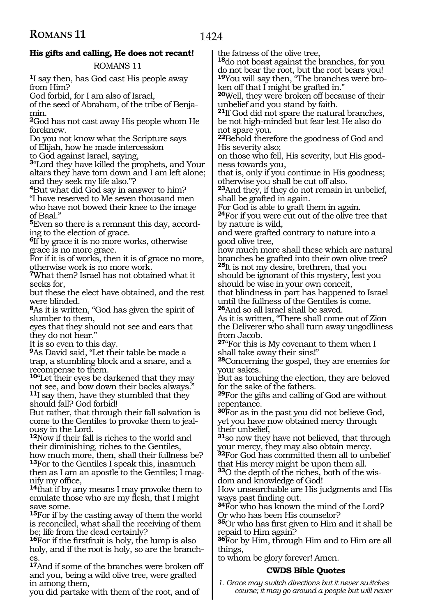### **His gifts and calling, He does not recant!**

ROMANS 11

**<sup>1</sup>**I say then, has God cast His people away from Him?

God forbid, for I am also of Israel,

of the seed of Abraham, of the tribe of Benjamin.

**<sup>2</sup>**God has not cast away His people whom He foreknew.

Do you not know what the Scripture says of Elijah, how he made intercession

to God against Israel, saying,

**<sup>3</sup>**"Lord they have killed the prophets, and Your altars they have torn down and I am left alone; and they seek my life also."?

**<sup>4</sup>**But what did God say in answer to him? "I have reserved to Me seven thousand men who have not bowed their knee to the image of Baal."

**5**Even so there is a remnant this day, according to the election of grace.

**<sup>6</sup>**If by grace it is no more works, otherwise grace is no more grace.

For if it is of works, then it is of grace no more, otherwise work is no more work.

**<sup>7</sup>**What then? Israel has not obtained what it seeks for,

but these the elect have obtained, and the rest were blinded.

**<sup>8</sup>**As it is written, "God has given the spirit of slumber to them,

eyes that they should not see and ears that they do not hear."

It is so even to this day.

**<sup>9</sup>**As David said, "Let their table be made a trap, a stumbling block and a snare, and a recompense to them.

**<sup>10</sup>**"Let their eyes be darkened that they may not see, and bow down their backs always." **<sup>11</sup>**I say then, have they stumbled that they should fall? God forbid!

But rather, that through their fall salvation is come to the Gentiles to provoke them to jealousy in the Lord.

**<sup>12</sup>**Now if their fall is riches to the world and their diminishing, riches to the Gentiles, how much more, then, shall their fullness be? **<sup>13</sup>**For to the Gentiles I speak this, inasmuch then as I am an apostle to the Gentiles; I mag-

**14** that if by any means I may provoke them to emulate those who are my flesh, that I might save some.

**<sup>15</sup>**For if by the casting away of them the world is reconciled, what shall the receiving of them be; life from the dead certainly?

**<sup>16</sup>**For if the firstfruit is holy, the lump is also holy, and if the root is holy, so are the branches.

**<sup>17</sup>**And if some of the branches were broken off and you, being a wild olive tree, were grafted in among them,

you did partake with them of the root, and of

the fatness of the olive tree,

**<sup>18</sup>**do not boast against the branches, for you do not bear the root, but the root bears you! **19**You will say then, "The branches were broken off that I might be grafted in."

**<sup>20</sup>**Well, they were broken off because of their unbelief and you stand by faith.

**<sup>21</sup>**If God did not spare the natural branches, be not high-minded but fear lest He also do not spare you.

**<sup>22</sup>**Behold therefore the goodness of God and His severity also;

on those who fell, His severity, but His good- ness towards you,

that is, only if you continue in His goodness; otherwise you shall be cut off also.

**<sup>23</sup>**And they, if they do not remain in unbelief, shall be grafted in again.

For God is able to graft them in again.

**<sup>24</sup>**For if you were cut out of the olive tree that by nature is wild,

and were grafted contrary to nature into a good olive tree,

how much more shall these which are natural branches be grafted into their own olive tree? **<sup>25</sup>**It is not my desire, brethren, that you

should be ignorant of this mystery, lest you should be wise in your own conceit,

that blindness in part has happened to Israel until the fullness of the Gentiles is come. **<sup>26</sup>**And so all Israel shall be saved.

As it is written, "There shall come out of Zion the Deliverer who shall turn away ungodliness from Jacob.

**<sup>27</sup>**"For this is My covenant to them when I shall take away their sins!"

**<sup>28</sup>**Concerning the gospel, they are enemies for your sakes.

But as touching the election, they are beloved for the sake of the fathers.

**<sup>29</sup>**For the gifts and calling of God are without repentance.

**<sup>30</sup>**For as in the past you did not believe God, yet you have now obtained mercy through their unbelief,

**<sup>31</sup>**so now they have not believed, that through your mercy, they may also obtain mercy.

**<sup>32</sup>**For God has committed them all to unbelief that His mercy might be upon them all.

**33**O the depth of the riches, both of the wisdom and knowledge of God!

How unsearchable are His judgments and His

34For who has known the mind of the Lord? Or who has been His counselor?

**<sup>35</sup>**Or who has first given to Him and it shall be repaid to Him again?

**<sup>36</sup>**For by Him, through Him and to Him are all things,

to whom be glory forever! Amen.

#### **CWDS Bible Quotes**

*1. Grace may switch directions but it never switches course; it may go around a people but will never*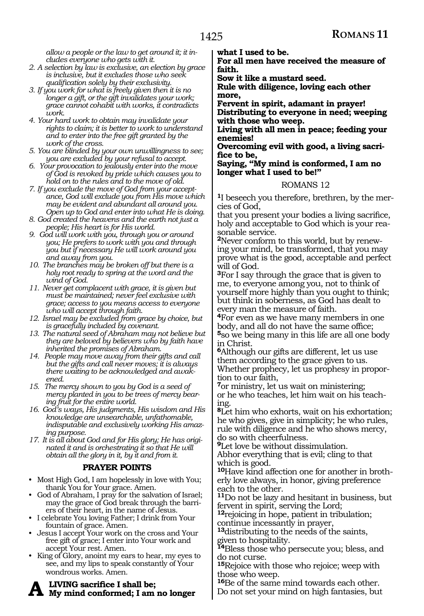1425

*allow a people or the law to get around it; it includes everyone who gets with it.*

- *2. A selection by law is exclusive, an election by grace is inclusive, but it excludes those who seek qualification solely by their exclusivity.*
- *3. If you work for what is freely given then it is no longer a gift, or the gift invalidates your work; grace cannot cohabit with works, it contradicts work.*
- *4. Your hard work to obtain may invalidate your rights to claim; it is better to work to understand and to enter into the free gift granted by the work of the cross.*
- *5. You are blinded by your own unwillingness to see; you are excluded by your refusal to accept.*
- *6. Your provocation to jealously enter into the move of God is revoked by pride which causes you to hold on to the rules and to the move of old.*
- *7. If you exclude the move of God from your acceptance, God will exclude you from His move which may be evident and abundant all around you. Open up to God and enter into what He is doing.*
- *8. God created the heavens and the earth not just a people; His heart is for His world.*
- *9. God will work with you, through you or around you; He prefers to work with you and through you but if necessary He will work around you and away from you.*
- *10. The branches may be broken off but there is a holy root ready to spring at the word and the wind of God.*
- *11. Never get complacent with grace, it is given but must be maintained; never feel exclusive with grace; access to you means access to everyone who will accept through faith.*
- *12. Israel may be excluded from grace by choice, but is gracefully included by covenant.*
- *13. The natural seed of Abraham may not believe but they are beloved by believers who by faith have inherited the promises of Abraham.*
- *14. People may move away from their gifts and call but the gifts and call never moves; it is always there waiting to be acknowledged and awakened.*
- *15. The mercy shown to you by God is a seed of mercy planted in you to be trees of mercy bearing fruit for the entire world.*
- *16. God's ways, His judgments, His wisdom and His knowledge are unsearchable, unfathomable, indisputable and exclusively working His amazing purpose.*
- *17. It is all about God and for His glory; He has originated it and is orchestrating it so that He will obtain all the glory in it, by it and from it.*

#### **PRAYER POINTS**

- Most High God, I am hopelessly in love with You; thank You for Your grace. Amen.
- God of Abraham, I pray for the salvation of Israel; may the grace of God break through the barriers of their heart, in the name of Jesus.
- I celebrate You loving Father; I drink from Your fountain of grace. Amen.
- Jesus I accept Your work on the cross and Your free gift of grace; I enter into Your work and accept Your rest. Amen.
- King of Glory, anoint my ears to hear, my eyes to see, and my lips to speak constantly of Your wondrous works. Amen.

**A living sacrifice I shall be; My mind conformed; I am no longer** 

**what I used to be.**

**For all men have received the measure of faith.**

**Sow it like a mustard seed.**

**Rule with diligence, loving each other more,**

**Fervent in spirit, adamant in prayer! Distributing to everyone in need; weeping with those who weep.**

**Living with all men in peace; feeding your enemies!**

**Overcoming evil with good, a living sacrifice to be,**

**Saying, "My mind is conformed, I am no longer what I used to be!"**

#### ROMANS 12

**1**I beseech you therefore, brethren, by the mercies of God,

that you present your bodies a living sacrifice, holy and acceptable to God which is your reasonable service.

**2**Never conform to this world, but by renewing your mind, be transformed, that you may prove what is the good, acceptable and perfect will of God.

**<sup>3</sup>**For I say through the grace that is given to me, to everyone among you, not to think of yourself more highly than you ought to think; but think in soberness, as God has dealt to every man the measure of faith.

**<sup>4</sup>**For even as we have many members in one body, and all do not have the same office; **<sup>5</sup>**so we being many in this life are all one body in Christ.

**<sup>6</sup>**Although our gifts are different, let us use them according to the grace given to us. Whether prophecy, let us prophesy in proportion to our faith,

**<sup>7</sup>**or ministry, let us wait on ministering; or he who teaches, let him wait on his teaching.

**<sup>8</sup>**Let him who exhorts, wait on his exhortation; he who gives, give in simplicity; he who rules, rule with diligence and he who shows mercy, do so with cheerfulness.

**<sup>9</sup>**Let love be without dissimulation.

Abhor everything that is evil; cling to that which is good.

**10**Have kind affection one for another in brotherly love always, in honor, giving preference each to the other.

**<sup>11</sup>**Do not be lazy and hesitant in business, but fervent in spirit, serving the Lord;

**<sup>12</sup>**rejoicing in hope, patient in tribulation; continue incessantly in prayer,

**<sup>13</sup>**distributing to the needs of the saints, given to hospitality.

**<sup>14</sup>**Bless those who persecute you; bless, and do not curse.

**<sup>15</sup>**Rejoice with those who rejoice; weep with those who weep.

**<sup>16</sup>**Be of the same mind towards each other. Do not set your mind on high fantasies, but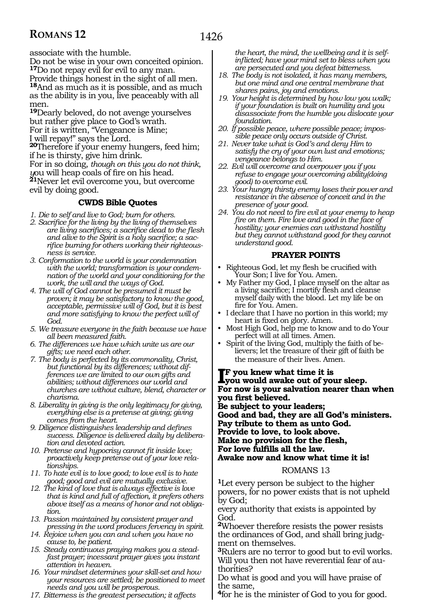associate with the humble.

Do not be wise in your own conceited opinion. **<sup>17</sup>**Do not repay evil for evil to any man. Provide things honest in the sight of all men. **<sup>18</sup>**And as much as it is possible, and as much as the ability is in you, live peaceably with all men.

**<sup>19</sup>**Dearly beloved, do not avenge yourselves but rather give place to God's wrath. For it is written, "Vengeance is Mine; I will repay!" says the Lord. **<sup>20</sup>**Therefore if your enemy hungers, feed him;

if he is thirsty, give him drink.

For in so doing, *though on this you do not think, y*ou will heap coals of fire on his head. **<sup>21</sup>**Never let evil overcome you, but overcome evil by doing good.

#### **CWDS Bible Quotes**

- *1. Die to self and live to God; burn for others.*
- *2. Sacrifice for the living by the living of themselves are living sacrifices; a sacrifice dead to the flesh and alive to the Spirit is a holy sacrifice; a sacrifice burning for others working their righteousness is service.*
- *3. Conformation to the world is your condemnation with the world; transformation is your condemnation of the world and your conditioning for the work, the will and the ways of God.*
- *4. The will of God cannot be presumed it must be proven; it may be satisfactory to know the good, acceptable, permissive will of God, but it is best and more satisfying to know the perfect will of God.*
- *5. We treasure everyone in the faith because we have all been measured faith.*
- *6. The differences we have which unite us are our gifts; we need each other.*
- *7. The body is perfected by its commonality, Christ, but functional by its differences; without differences we are limited to our own gifts and abilities; without differences our world and churches are without culture, blend, character or charisma.*
- *8. Liberality in giving is the only legitimacy for giving, everything else is a pretense at giving; giving comes from the heart.*
- *9. Diligence distinguishes leadership and defines success. Diligence is delivered daily by deliberation and devoted action.*
- *10. Pretense and hypocrisy cannot fit inside love; proactively keep pretense out of your love relationships.*
- *11. To hate evil is to love good; to love evil is to hate good; good and evil are mutually exclusive.*
- *12. The kind of love that is always effective is love that is kind and full of affection, it prefers others above itself as a means of honor and not obligation.*
- *13. Passion maintained by consistent prayer and pressing in the word produces fervency in spirit.*
- *14. Rejoice when you can and when you have no cause to, be patient.*
- *15. Steady continuous praying makes you a steadfast prayer; incessant prayer gives you instant attention in heaven.*
- *16. Your mindset determines your skill-set and how your resources are settled; be positioned to meet needs and you will be prosperous.*
- *17. Bitterness is the greatest persecution; it affects*

*the heart, the mind, the wellbeing and it is selfinflicted; have your mind set to bless when you are persecuted and you defeat bitterness.*

- *18. The body is not isolated, it has many members, but one mind and one central membrane that shares pains, joy and emotions.*
- *19. Your height is determined by how low you walk; if your foundation is built on humility and you disassociate from the humble you dislocate your foundation.*
- *20. If possible peace, where possible peace; impossible peace only occurs outside of Christ.*
- *21. Never take what is God's and deny Him to satisfy the cry of your own lust and emotions; vengeance belongs to Him.*
- *22. Evil will overcome and overpower you if you refuse to engage your overcoming ability(doing good) to overcome evil.*
- *23. Your hungry thirsty enemy loses their power and resistance in the absence of conceit and in the presence of your good.*
- *24. You do not need to fire evil at your enemy to heap fire on them. Fire love and good in the face of hostility; your enemies can withstand hostility but they cannot withstand good for they cannot understand good.*

#### **PRAYER POINTS**

- Righteous God, let my flesh be crucified with Your Son; I live for You. Amen.
- My Father my God, I place myself on the altar as a living sacrifice; I mortify flesh and cleanse myself daily with the blood. Let my life be on fire for You. Amen.
- I declare that I have no portion in this world; my heart is fixed on glory. Amen.
- Most High God, help me to know and to do Your perfect will at all times. Amen.
- Spirit of the living God, multiply the faith of believers; let the treasure of their gift of faith be the measure of their lives. Amen.

**I**F you knew what time it is<br>you would awake out of yo **you would awake out of your sleep. For now is your salvation nearer than when you first believed. Be subject to your leaders; Good and bad, they are all God's ministers. Pay tribute to them as unto God. Provide to love, to look above. Make no provision for the flesh, For love fulfills all the law. Awake now and know what time it is!**

#### ROMANS 13

**<sup>1</sup>**Let every person be subject to the higher powers, for no power exists that is not upheld by God;

every authority that exists is appointed by God.

**<sup>2</sup>**Whoever therefore resists the power resists the ordinances of God, and shall bring judgment on themselves.

**<sup>3</sup>**Rulers are no terror to good but to evil works. Will you then not have reverential fear of authorities?

Do what is good and you will have praise of the same,

**<sup>4</sup>**for he is the minister of God to you for good.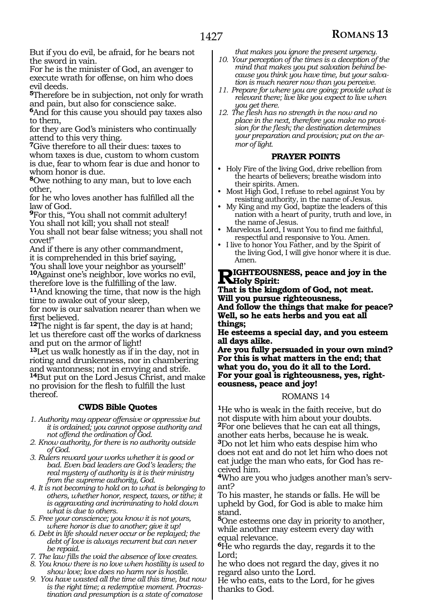But if you do evil, be afraid, for he bears not the sword in vain.

For he is the minister of God, an avenger to execute wrath for offense, on him who does evil deeds.

**<sup>5</sup>**Therefore be in subjection, not only for wrath and pain, but also for conscience sake.

**<sup>6</sup>**And for this cause you should pay taxes also to them,

for they are God's ministers who continually attend to this very thing.

**<sup>7</sup>**Give therefore to all their dues: taxes to whom taxes is due, custom to whom custom is due, fear to whom fear is due and honor to whom honor is due.

**<sup>8</sup>**Owe nothing to any man, but to love each other,

for he who loves another has fulfilled all the law of God.

**<sup>9</sup>**For this, "You shall not commit adultery! You shall not kill; you shall not steal! You shall not bear false witness; you shall not

covet!" And if there is any other commandment,

it is comprehended in this brief saying, 'You shall love your neighbor as yourself!' **<sup>10</sup>**Against one's neighbor, love works no evil,

<sup>11</sup>And knowing the time, that now is the high time to awake out of your sleep,

for now is our salvation nearer than when we first believed.

**<sup>12</sup>**The night is far spent, the day is at hand; let us therefore cast off the works of darkness and put on the armor of light!

**<sup>13</sup>**Let us walk honestly as if in the day, not in rioting and drunkenness, nor in chambering and wantonness; not in envying and strife. **<sup>14</sup>**But put on the Lord Jesus Christ, and make

no provision for the flesh to fulfill the lust thereof.

#### **CWDS Bible Quotes**

- *1. Authority may appear offensive or oppressive but it is ordained; you cannot oppose authority and not offend the ordination of God.*
- *2. Know authority, for there is no authority outside of God.*
- *3. Rulers reward your works whether it is good or bad. Even bad leaders are God's leaders; the real mystery of authority is it is their ministry from the supreme authority, God.*
- *4. It is not becoming to hold on to what is belonging to others, whether honor, respect, taxes, or tithe; it is aggravating and incriminating to hold down what is due to others.*
- *5. Free your conscience; you know it is not yours, where honor is due to another; give it up!*
- *6. Debt in life should never occur or be replayed; the debt of love is always recurrent but can never be repaid.*
- *7. The law fills the void the absence of love creates.*
- *8. You know there is no love when hostility is used to show love; love does no harm nor is hostile.*
- *9. You have wasted all the time all this time, but now is the right time; a redemptive moment. Procrastination and presumption is a state of comatose*

*that makes you ignore the present urgency.*

- *10. Your perception of the times is a deception of the mind that makes you put salvation behind because you think you have time, but your salvation is much nearer now than you perceive.*
- *11. Prepare for where you are going; provide what is relevant there; live like you expect to live when you get there.*
- *12. The flesh has no strength in the now and no*   $\overline{\phantom{a}}$  *sion for the flesh; the destination determines your preparation and provision; put on the armor of light.*

#### **PRAYER POINTS**

- Holy Fire of the living God, drive rebellion from the hearts of believers; breathe wisdom into their spirits. Amen.
- Most High God, I refuse to rebel against You by resisting authority, in the name of Jesus.
- My King and my God, baptize the leaders of this nation with a heart of purity, truth and love, in the name of Jesus.
- Marvelous Lord, I want You to find me faithful, respectful and responsive to You. Amen.
- I live to honor You Father, and by the Spirit of the living God, I will give honor where it is due. Amen.

#### **Righter III ST EQUISNESS, peace and joy in the Holy Spirit:**

**That is the kingdom of God, not meat. Will you pursue righteousness,**

**And follow the things that make for peace? Well, so he eats herbs and you eat all things;**

**He esteems a special day, and you esteem all days alike.**

**Are you fully persuaded in your own mind? For this is what matters in the end; that what you do, you do it all to the Lord. For your goal is righteousness, yes, right- eousness, peace and joy!**

#### ROMANS 14

**<sup>1</sup>**He who is weak in the faith receive, but do not dispute with him about your doubts. **<sup>2</sup>**For one believes that he can eat all things, another eats herbs, because he is weak. **<sup>3</sup>**Do not let him who eats despise him who does not eat and do not let him who does not eat judge the man who eats, for God has re- ceived him.

**<sup>4</sup>**Who are you who judges another man's serv- ant?

To his master, he stands or falls. He will be upheld by God, for God is able to make him stand.

**<sup>5</sup>**One esteems one day in priority to another, while another may esteem every day with equal relevance.

**<sup>6</sup>**He who regards the day, regards it to the Lord;

he who does not regard the day, gives it no regard also unto the Lord.

He who eats, eats to the Lord, for he gives thanks to God.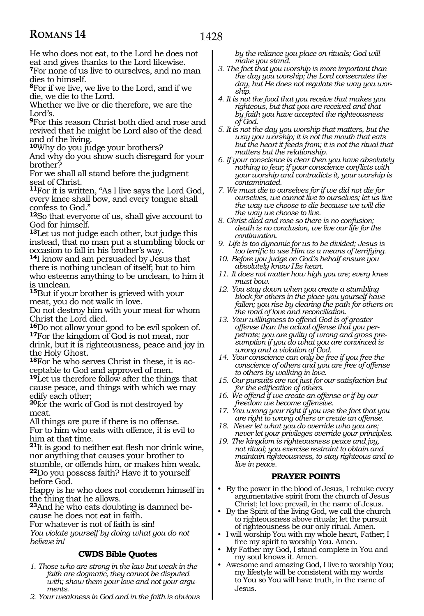He who does not eat, to the Lord he does not eat and gives thanks to the Lord likewise.

**<sup>7</sup>**For none of us live to ourselves, and no man dies to himself.

**<sup>8</sup>**For if we live, we live to the Lord, and if we die, we die to the Lord.

Whether we live or die therefore, we are the Lord's.

**<sup>9</sup>**For this reason Christ both died and rose and revived that he might be Lord also of the dead and of the living.

**<sup>10</sup>**Why do you judge your brothers?

And why do you show such disregard for your brother?

For we shall all stand before the judgment seat of Christ.

**<sup>11</sup>**For it is written, "As I live says the Lord God, every knee shall bow, and every tongue shall confess to God."

**<sup>12</sup>**So that everyone of us, shall give account to God for himself.

**<sup>13</sup>**Let us not judge each other, but judge this instead, that no man put a stumbling block or occasion to fall in his brother's way.

**<sup>14</sup>**I know and am persuaded by Jesus that there is nothing unclean of itself; but to him who esteems anything to be unclean, to him it is unclean.

**<sup>15</sup>**But if your brother is grieved with your meat, you do not walk in love.

Do not destroy him with your meat for whom Christ the Lord died.

**<sup>16</sup>**Do not allow your good to be evil spoken of. **<sup>17</sup>**For the kingdom of God is not meat, nor drink, but it is righteousness, peace and joy in the Holy Ghost.

**18**For he who serves Christ in these, it is acceptable to God and approved of men.

**<sup>19</sup>**Let us therefore follow after the things that cause peace, and things with which we may edify each other;

**<sup>20</sup>**for the work of God is not destroyed by meat.

All things are pure if there is no offense. For to him who eats with offence, it is evil to him at that time.

**<sup>21</sup>**It is good to neither eat flesh nor drink wine, nor anything that causes your brother to stumble, or offends him, or makes him weak. **<sup>22</sup>**Do you possess faith? Have it to yourself before God.

Happy is he who does not condemn himself in the thing that he allows.

**23**And he who eats doubting is damned because he does not eat in faith.

For whatever is not of faith is sin!

*You violate yourself by doing what you do not believe in!*

#### **CWDS Bible Quotes**

- *1. Those who are strong in the law but weak in the faith are dogmatic, they cannot be disputed with; show them your love and not your arguments.*
- *2. Your weakness in God and in the faith is obvious*

*by the reliance you place on rituals; God will make you stand.*

- *3. The fact that you worship is more important than the day you worship; the Lord consecrates the day, but He does not regulate the way you worship.*
- *4. It is not the food that you receive that makes you righteous, but that you are received and that by faith you have accepted the righteousness of God.*
- *5. It is not the day you worship that matters, but the way you worship; it is not the mouth that eats but the heart it feeds from; it is not the ritual that matters but the relationship.*
- *6. If your conscience is clear then you have absolutely nothing to fear; if your conscience conflicts with your worship and contradicts it, your worship is contaminated.*
- *7. We must die to ourselves for if we did not die for ourselves, we cannot live to ourselves; let us live the way we choose to die because we will die the way we choose to live.*
- *8. Christ died and rose so there is no confusion; death is no conclusion, we live our life for the continuation.*
- *9. Life is too dynamic for us to be divided; Jesus is too terrific to use Him as a means of terrifying.*
- *10. Before you judge on God's behalf ensure you absolutely know His heart.*
- *11. It does not matter how high you are; every knee must bow.*
- *12. You stay down when you create a stumbling block for others in the place you yourself have fallen; you rise by clearing the path for others on the road of love and reconciliation.*
- *13. Your willingness to offend God is of greater offense than the actual offense that you perpetrate; you are guilty of wrong and gross presumption if you do what you are convinced is wrong and a violation of God.*
- *14. Your conscience can only be free if you free the conscience of others and you are free of offense to others by walking in love.*
- *15. Our pursuits are not just for our satisfaction but for the edification of others.*
- *16. We offend if we create an offense or if by our freedom we become offensive.*
- *17. You wrong your right if you use the fact that you are right to wrong others or create an offense.*
- *18. Never let what you do override who you are; never let your privileges override your principles.*
- *19. The kingdom is righteousness peace and joy, not ritual; you exercise restraint to obtain and maintain righteousness, to stay righteous and to live in peace.*

#### **PRAYER POINTS**

- By the power in the blood of Jesus, I rebuke every argumentative spirit from the church of Jesus Christ; let love prevail, in the name of Jesus.
- By the Spirit of the living God, we call the church to righteousness above rituals; let the pursuit of righteousness be our only ritual. Amen.
- I will worship You with my whole heart, Father; I free my spirit to worship You. Amen.
- My Father my God, I stand complete in You and my soul knows it. Amen.
- Awesome and amazing God, I live to worship You; my lifestyle will be consistent with my words to You so You will have truth, in the name of Jesus.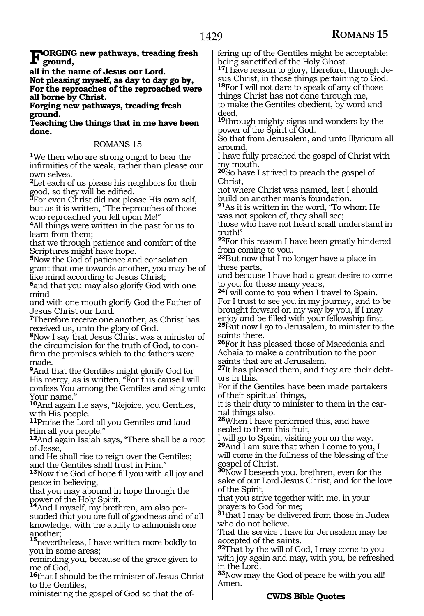**FORGING new pathways, treading fresh**<br> **ground,** 

**all in the name of Jesus our Lord.**

**Not pleasing myself, as day to day go by, For the reproaches of the reproached were all borne by Christ.**

**Forging new pathways, treading fresh ground.**

**Teaching the things that in me have been done.**

#### ROMANS 15

**<sup>1</sup>**We then who are strong ought to bear the infirmities of the weak, rather than please our own selves.

**<sup>2</sup>**Let each of us please his neighbors for their good, so they will be edified.

**<sup>3</sup>**For even Christ did not please His own self, but as it is written, "The reproaches of those who reproached you fell upon Me!"

**<sup>4</sup>**All things were written in the past for us to learn from them;

that we through patience and comfort of the Scriptures might have hope.

**<sup>5</sup>**Now the God of patience and consolation grant that one towards another, you may be of like mind according to Jesus Christ;

**<sup>6</sup>**and that you may also glorify God with one mind

and with one mouth glorify God the Father of Jesus Christ our Lord.

**<sup>7</sup>**Therefore receive one another, as Christ has received us, unto the glory of God.

**<sup>8</sup>**Now I say that Jesus Christ was a minister of the circumcision for the truth of God, to confirm the promises which to the fathers were made.

**<sup>9</sup>**And that the Gentiles might glorify God for His mercy, as is written, "For this cause I will confess You among the Gentiles and sing unto Your name."

**<sup>10</sup>**And again He says, "Rejoice, you Gentiles, with His people.

**<sup>11</sup>**Praise the Lord all you Gentiles and laud Him all you people."

**<sup>12</sup>**And again Isaiah says, "There shall be a root of Jesse,

and He shall rise to reign over the Gentiles; and the Gentiles shall trust in Him."

**<sup>13</sup>**Now the God of hope fill you with all joy and peace in believing,

that you may abound in hope through the

power of the Holy Spirit. **<sup>14</sup>**And I myself, my brethren, am also persuaded that you are full of goodness and of all knowledge, with the ability to admonish one another;

**<sup>15</sup>**nevertheless, I have written more boldly to you in some areas;

reminding you, because of the grace given to me of God,

**<sup>16</sup>**that I should be the minister of Jesus Christ to the Gentiles,

ministering the gospel of God so that the of-

fering up of the Gentiles might be acceptable;<br>being sanctified of the Holy Ghost.

<sup>17</sup>I have reason to glory, therefore, through Jesus Christ, in those things pertaining to God. **<sup>18</sup>**For I will not dare to speak of any of those things Christ has not done through me,

to make the Gentiles obedient, by word and deed,

**<sup>19</sup>**through mighty signs and wonders by the power of the Spirit of God.

So that from Jerusalem, and unto Illyricum all around,

I have fully preached the gospel of Christ with my mouth.

**<sup>20</sup>**So have I strived to preach the gospel of Christ,

not where Christ was named, lest I should build on another man's foundation.

**<sup>21</sup>**As it is written in the word, "To whom He was not spoken of, they shall see;

those who have not heard shall understand in truth!"

**<sup>22</sup>**For this reason I have been greatly hindered from coming to you.

**<sup>23</sup>**But now that I no longer have a place in these parts,

and because I have had a great desire to come to you for these many years,

**<sup>24</sup>**I will come to you when I travel to Spain. For I trust to see you in my journey, and to be brought forward on my way by you, if I may enjoy and be filled with your fellowship first. **<sup>25</sup>**But now I go to Jerusalem, to minister to the

saints there.

**<sup>26</sup>**For it has pleased those of Macedonia and Achaia to make a contribution to the poor saints that are at Jerusalem.

**27**It has pleased them, and they are their debtors in this.

For if the Gentiles have been made partakers of their spiritual things,

it is their duty to minister to them in the carnal things also.

**<sup>28</sup>**When I have performed this, and have sealed to them this fruit,

I will go to Spain, visiting you on the way. **<sup>29</sup>**And I am sure that when I come to you, I will come in the fullness of the blessing of the gospel of Christ.

**<sup>30</sup>**Now I beseech you, brethren, even for the sake of our Lord Jesus Christ, and for the love of the Spirit,

that you strive together with me, in your prayers to God for me;

**<sup>31</sup>**that I may be delivered from those in Judea who do not believe.

That the service I have for Jerusalem may be accepted of the saints.

**<sup>32</sup>**That by the will of God, I may come to you with joy again and may, with you, be refreshed in the Lord.

**<sup>33</sup>**Now may the God of peace be with you all! Amen.

#### **CWDS Bible Quotes**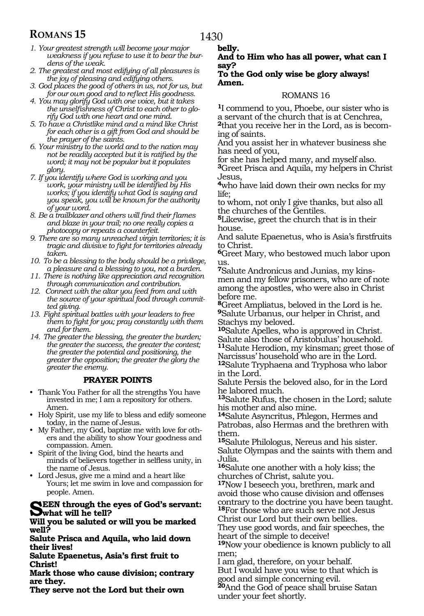### 1430

**belly.**

### **ROMANS 15**

- *1. Your greatest strength will become your major weakness if you refuse to use it to bear the burdens of the weak.*
- *2. The greatest and most edifying of all pleasures is the joy of pleasing and edifying others.*
- *3. God places the good of others in us, not for us, but for our own good and to reflect His goodness.*
- *4. You may glorify God with one voice, but it takes the unselfishness of Christ to each other to glorify God with one heart and one mind.*
- *5. To have a Christlike mind and a mind like Christ for each other is a gift from God and should be the prayer of the saints.*
- *6. Your ministry to the world and to the nation may not be readily accepted but it is ratified by the word; it may not be popular but it populates glory.*
- *7. If you identify where God is working and you work, your ministry will be identified by His works; if you identify what God is saying and you speak, you will be known for the authority of your word.*
- *8. Be a trailblazer and others will find their flames and blaze in your trail; no one really copies a photocopy or repeats a counterfeit.*
- *9. There are so many unreached virgin territories; it is tragic and divisive to fight for territories already taken.*
- *10. To be a blessing to the body should be a privilege, a pleasure and a blessing to you, not a burden.*
- *11. There is nothing like appreciation and recognition through communication and contribution.*
- *12. Connect with the altar you feed from and with the source of your spiritual food through committed giving.*
- *13. Fight spiritual battles with your leaders to free them to fight for you; pray constantly with them and for them.*
- *14. The greater the blessing, the greater the burden; the greater the success, the greater the contest; the greater the potential and positioning, the greater the opposition; the greater the glory the greater the enemy.*

#### **PRAYER POINTS**

- Thank You Father for all the strengths You have invested in me; I am a repository for others. Amen.
- Holy Spirit, use my life to bless and edify someone today, in the name of Jesus.
- My Father, my God, baptize me with love for others and the ability to show Your goodness and compassion. Amen.
- Spirit of the living God, bind the hearts and minds of believers together in selfless unity, in the name of Jesus.
- Lord Jesus, give me a mind and a heart like Yours; let me swim in love and compassion for people. Amen.

#### **NEEN** through the eyes of God's servant: **what will he tell?**

**Will you be saluted or will you be marked well?**

**Salute Prisca and Aquila, who laid down their lives!**

**Salute Epaenetus, Asia's first fruit to Christ!**

**Mark those who cause division; contrary are they.**

**They serve not the Lord but their own** 

#### **And to Him who has all power, what can I say?**

#### **To the God only wise be glory always! Amen.**

#### ROMANS 16

**<sup>1</sup>**I commend to you, Phoebe, our sister who is a servant of the church that is at Cenchrea,

**2**that you receive her in the Lord, as is becoming of saints.

And you assist her in whatever business she has need of you,

for she has helped many, and myself also. **<sup>3</sup>**Greet Prisca and Aquila, my helpers in Christ

Jesus,

**<sup>4</sup>**who have laid down their own necks for my life;

to whom, not only I give thanks, but also all the churches of the Gentiles.

**<sup>5</sup>**Likewise, greet the church that is in their house.

And salute Epaenetus, who is Asia's firstfruits to Christ.

**<sup>6</sup>**Greet Mary, who bestowed much labor upon us.

**<sup>7</sup>**Salute Andronicus and Junias, my kins- men and my fellow prisoners, who are of note among the apostles, who were also in Christ before me.

**<sup>8</sup>**Greet Ampliatus, beloved in the Lord is he. **<sup>9</sup>**Salute Urbanus, our helper in Christ, and Stachys my beloved.

**<sup>10</sup>**Salute Apelles, who is approved in Christ. Salute also those of Aristobulus' household. **<sup>11</sup>**Salute Herodion, my kinsman; greet those of Narcissus' household who are in the Lord.

**<sup>12</sup>**Salute Tryphaena and Tryphosa who labor in the Lord.

Salute Persis the beloved also, for in the Lord he labored much.

**<sup>13</sup>**Salute Rufus, the chosen in the Lord; salute his mother and also mine.

**<sup>14</sup>**Salute Asyncritus, Phlegon, Hermes and Patrobas, also Hermas and the brethren with them.

**<sup>15</sup>**Salute Philologus, Nereus and his sister. Salute Olympas and the saints with them and Julia.

**<sup>16</sup>**Salute one another with a holy kiss; the churches of Christ, salute you.

**<sup>17</sup>**Now I beseech you, brethren, mark and avoid those who cause division and offenses contrary to the doctrine you have been taught. **<sup>18</sup>**For those who are such serve not Jesus

Christ our Lord but their own bellies.

They use good words, and fair speeches, the heart of the simple to deceive!

**<sup>19</sup>**Now your obedience is known publicly to all men;

I am glad, therefore, on your behalf.

But I would have you wise to that which is good and simple concerning evil.

**<sup>20</sup>**And the God of peace shall bruise Satan under your feet shortly.